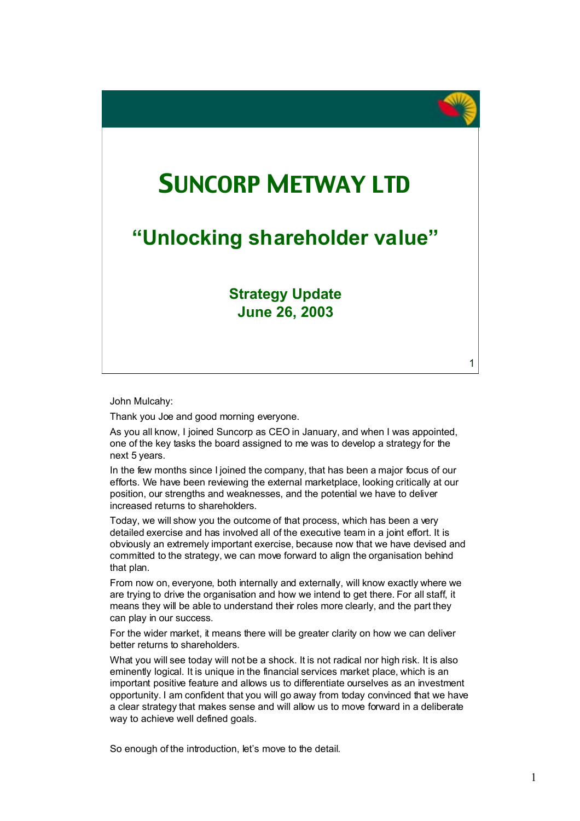# SUNCORP METWAY LTD

### **"Unlocking shareholder value"**

### **Strategy Update June 26, 2003**

John Mulcahy:

Thank you Joe and good morning everyone.

As you all know, I joined Suncorp as CEO in January, and when I was appointed, one of the key tasks the board assigned to me was to develop a strategy for the next 5 years.

In the few months since I joined the company, that has been a major focus of our efforts. We have been reviewing the external marketplace, looking critically at our position, our strengths and weaknesses, and the potential we have to deliver increased returns to shareholders.

Today, we will show you the outcome of that process, which has been a very detailed exercise and has involved all of the executive team in a joint effort. It is obviously an extremely important exercise, because now that we have devised and committed to the strategy, we can move forward to align the organisation behind that plan.

From now on, everyone, both internally and externally, will know exactly where we are trying to drive the organisation and how we intend to get there. For all staff, it means they will be able to understand their roles more clearly, and the part they can play in our success.

For the wider market, it means there will be greater clarity on how we can deliver better returns to shareholders.

What you will see today will not be a shock. It is not radical nor high risk. It is also eminently logical. It is unique in the financial services market place, which is an important positive feature and allows us to differentiate ourselves as an investment opportunity. I am confident that you will go away from today convinced that we have a clear strategy that makes sense and will allow us to move forward in a deliberate way to achieve well defined goals.

So enough of the introduction, let's move to the detail.

1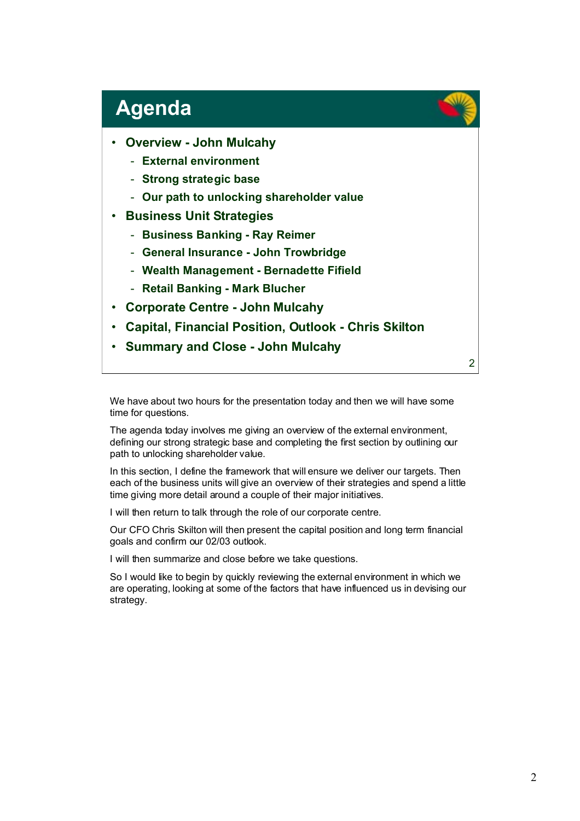## **Agenda**

- **Overview John Mulcahy**
	- **External environment**
	- **Strong strategic base**
	- **Our path to unlocking shareholder value**
- **Business Unit Strategies**
	- **Business Banking Ray Reimer**
	- **General Insurance John Trowbridge**
	- **Wealth Management Bernadette Fifield**
	- **Retail Banking Mark Blucher**
- **Corporate Centre John Mulcahy**
- **Capital, Financial Position, Outlook Chris Skilton**
- **Summary and Close John Mulcahy**

We have about two hours for the presentation today and then we will have some time for questions.

The agenda today involves me giving an overview of the external environment, defining our strong strategic base and completing the first section by outlining our path to unlocking shareholder value.

In this section, I define the framework that will ensure we deliver our targets. Then each of the business units will give an overview of their strategies and spend a little time giving more detail around a couple of their major initiatives.

I will then return to talk through the role of our corporate centre.

Our CFO Chris Skilton will then present the capital position and long term financial goals and confirm our 02/03 outlook.

I will then summarize and close before we take questions.

So I would like to begin by quickly reviewing the external environment in which we are operating, looking at some of the factors that have influenced us in devising our strategy.

2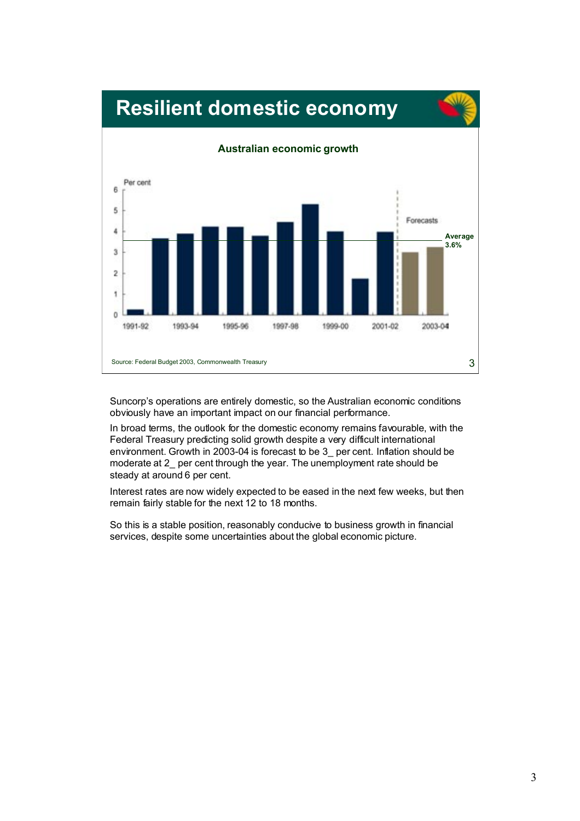

## **Resilient domestic economy**

Suncorp's operations are entirely domestic, so the Australian economic conditions obviously have an important impact on our financial performance.

In broad terms, the outlook for the domestic economy remains favourable, with the Federal Treasury predicting solid growth despite a very difficult international environment. Growth in 2003-04 is forecast to be 3 per cent. Inflation should be moderate at 2\_ per cent through the year. The unemployment rate should be steady at around 6 per cent.

Interest rates are now widely expected to be eased in the next few weeks, but then remain fairly stable for the next 12 to 18 months.

So this is a stable position, reasonably conducive to business growth in financial services, despite some uncertainties about the global economic picture.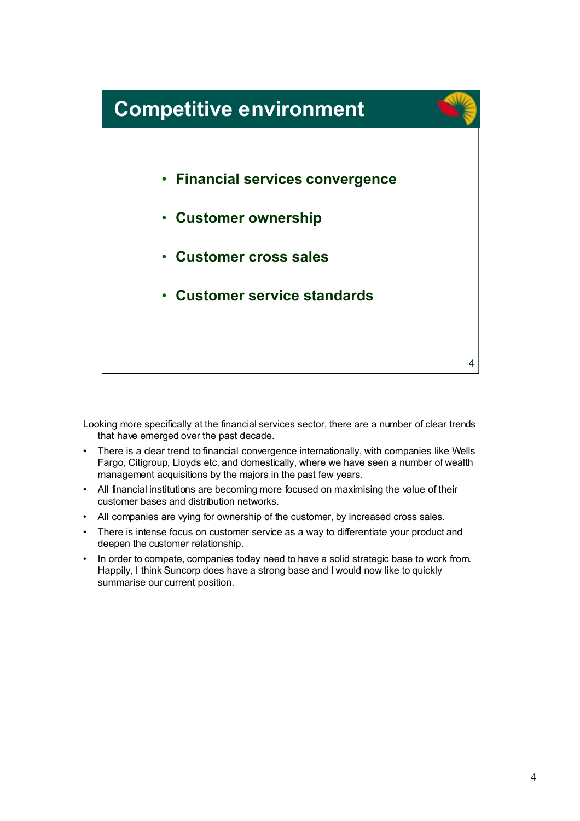

Looking more specifically at the financial services sector, there are a number of clear trends that have emerged over the past decade.

- There is a clear trend to financial convergence internationally, with companies like Wells Fargo, Citigroup, Lloyds etc, and domestically, where we have seen a number of wealth management acquisitions by the majors in the past few years.
- All financial institutions are becoming more focused on maximising the value of their customer bases and distribution networks.
- All companies are vying for ownership of the customer, by increased cross sales.
- There is intense focus on customer service as a way to differentiate your product and deepen the customer relationship.
- In order to compete, companies today need to have a solid strategic base to work from. Happily, I think Suncorp does have a strong base and I would now like to quickly summarise our current position.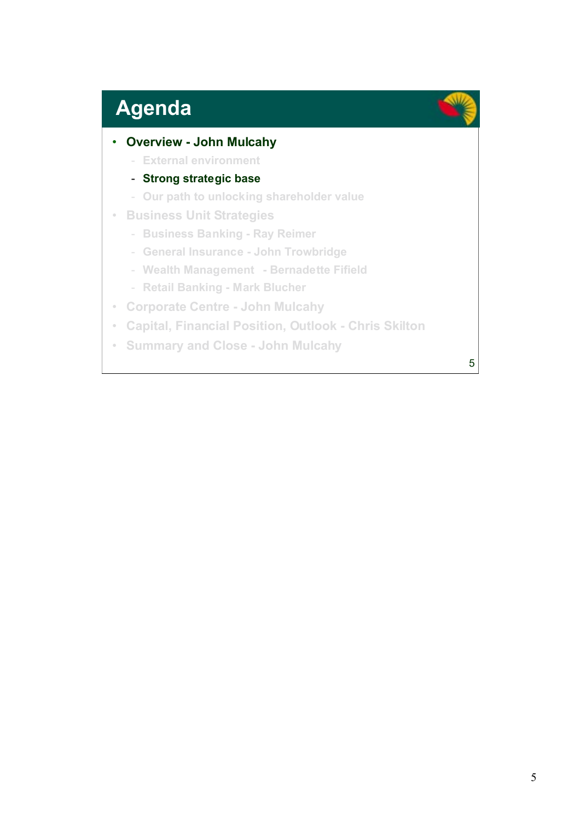# **Agenda**

### • **Overview - John Mulcahy**

- **External environment**

### - **Strong strategic base**

- **Our path to unlocking shareholder value**
- **Business Unit Strategies**
	- **Business Banking Ray Reimer**
	- **General Insurance John Trowbridge**
	- **Wealth Management Bernadette Fifield**
	- **Retail Banking Mark Blucher**
- **Corporate Centre John Mulcahy**
- **Capital, Financial Position, Outlook Chris Skilton**
- **Summary and Close John Mulcahy**

5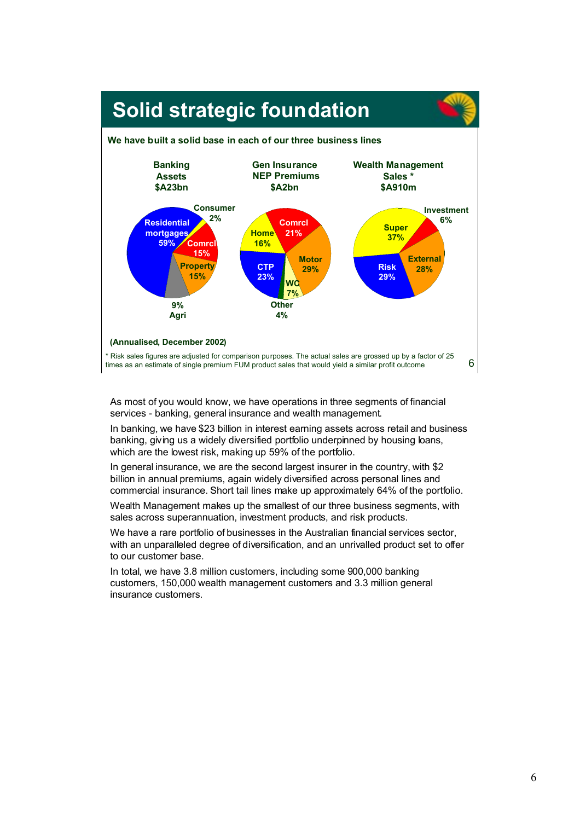

As most of you would know, we have operations in three segments of financial services - banking, general insurance and wealth management.

In banking, we have \$23 billion in interest earning assets across retail and business banking, giving us a widely diversified portfolio underpinned by housing loans, which are the lowest risk, making up 59% of the portfolio.

In general insurance, we are the second largest insurer in the country, with \$2 billion in annual premiums, again widely diversified across personal lines and commercial insurance. Short tail lines make up approximately 64% of the portfolio.

Wealth Management makes up the smallest of our three business segments, with sales across superannuation, investment products, and risk products.

We have a rare portfolio of businesses in the Australian financial services sector, with an unparalleled degree of diversification, and an unrivalled product set to offer to our customer base.

In total, we have 3.8 million customers, including some 900,000 banking customers, 150,000 wealth management customers and 3.3 million general insurance customers.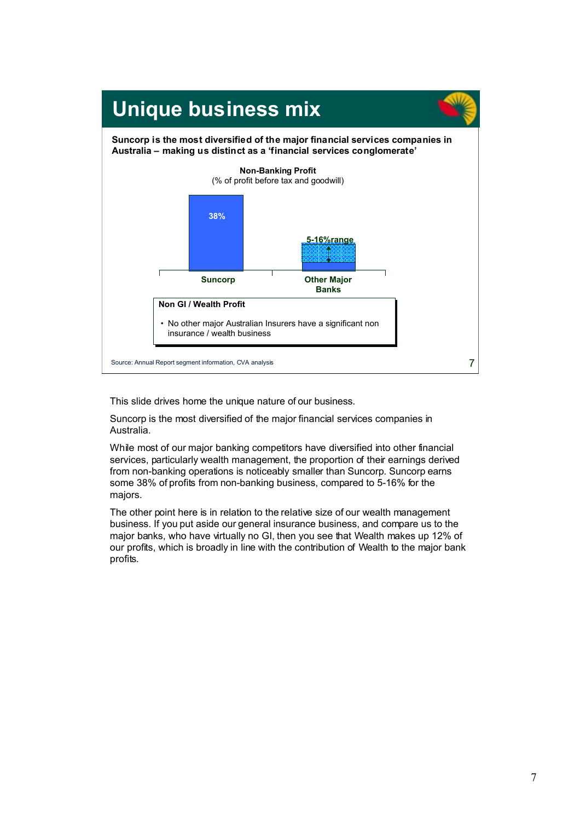

This slide drives home the unique nature of our business.

Suncorp is the most diversified of the major financial services companies in Australia.

While most of our major banking competitors have diversified into other financial services, particularly wealth management, the proportion of their earnings derived from non-banking operations is noticeably smaller than Suncorp. Suncorp earns some 38% of profits from non-banking business, compared to 5-16% for the majors.

The other point here is in relation to the relative size of our wealth management business. If you put aside our general insurance business, and compare us to the major banks, who have virtually no GI, then you see that Wealth makes up 12% of our profits, which is broadly in line with the contribution of Wealth to the major bank profits.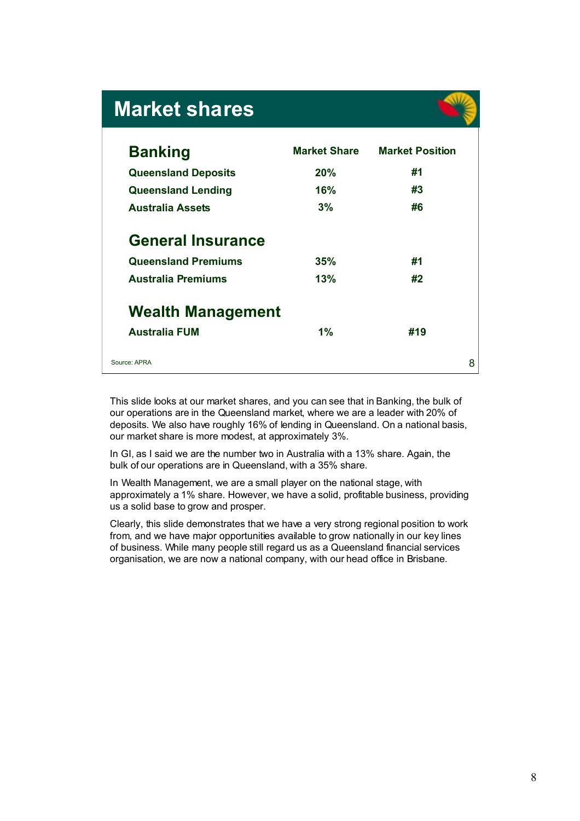## **Market shares**

| <b>Banking</b>             | <b>Market Share</b> | <b>Market Position</b> |
|----------------------------|---------------------|------------------------|
| <b>Queensland Deposits</b> | 20%                 | #1                     |
| <b>Queensland Lending</b>  | 16%                 | #3                     |
| <b>Australia Assets</b>    | 3%                  | #6                     |
| <b>General Insurance</b>   |                     |                        |
| <b>Queensland Premiums</b> | 35%                 | #1                     |
| <b>Australia Premiums</b>  | 13%                 | #2                     |
| <b>Wealth Management</b>   |                     |                        |
| <b>Australia FUM</b>       | $1\%$               | #19                    |

This slide looks at our market shares, and you can see that in Banking, the bulk of our operations are in the Queensland market, where we are a leader with 20% of deposits. We also have roughly 16% of lending in Queensland. On a national basis, our market share is more modest, at approximately 3%.

In GI, as I said we are the number two in Australia with a 13% share. Again, the bulk of our operations are in Queensland, with a 35% share.

In Wealth Management, we are a small player on the national stage, with approximately a 1% share. However, we have a solid, profitable business, providing us a solid base to grow and prosper.

Clearly, this slide demonstrates that we have a very strong regional position to work from, and we have major opportunities available to grow nationally in our key lines of business. While many people still regard us as a Queensland financial services organisation, we are now a national company, with our head office in Brisbane.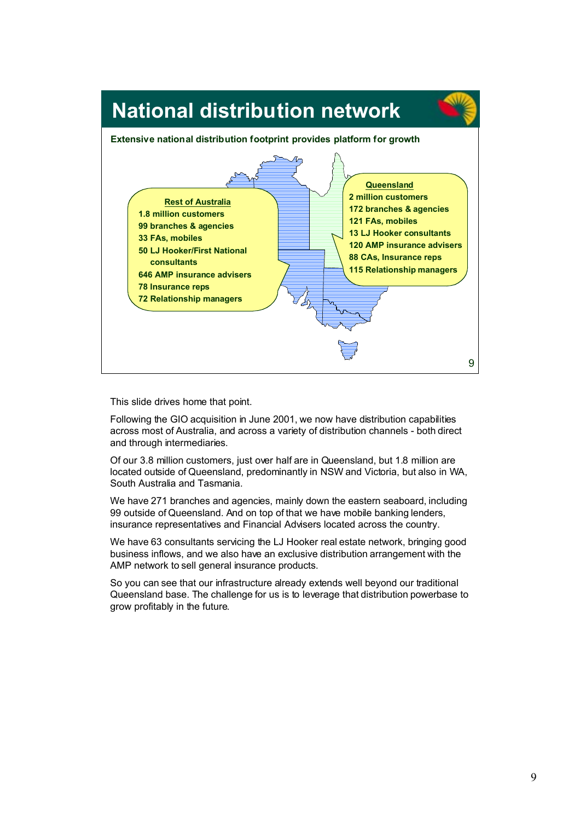

This slide drives home that point.

Following the GIO acquisition in June 2001, we now have distribution capabilities across most of Australia, and across a variety of distribution channels - both direct and through intermediaries.

Of our 3.8 million customers, just over half are in Queensland, but 1.8 million are located outside of Queensland, predominantly in NSW and Victoria, but also in WA, South Australia and Tasmania.

We have 271 branches and agencies, mainly down the eastern seaboard, including 99 outside of Queensland. And on top of that we have mobile banking lenders, insurance representatives and Financial Advisers located across the country.

We have 63 consultants servicing the LJ Hooker real estate network, bringing good business inflows, and we also have an exclusive distribution arrangement with the AMP network to sell general insurance products.

So you can see that our infrastructure already extends well beyond our traditional Queensland base. The challenge for us is to leverage that distribution powerbase to grow profitably in the future.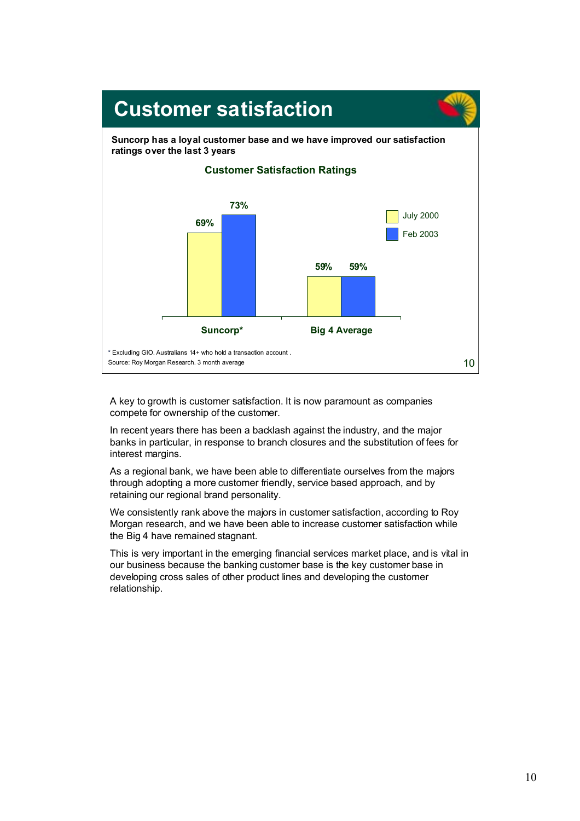

A key to growth is customer satisfaction. It is now paramount as companies compete for ownership of the customer.

In recent years there has been a backlash against the industry, and the major banks in particular, in response to branch closures and the substitution of fees for interest margins.

As a regional bank, we have been able to differentiate ourselves from the majors through adopting a more customer friendly, service based approach, and by retaining our regional brand personality.

We consistently rank above the majors in customer satisfaction, according to Roy Morgan research, and we have been able to increase customer satisfaction while the Big 4 have remained stagnant.

This is very important in the emerging financial services market place, and is vital in our business because the banking customer base is the key customer base in developing cross sales of other product lines and developing the customer relationship.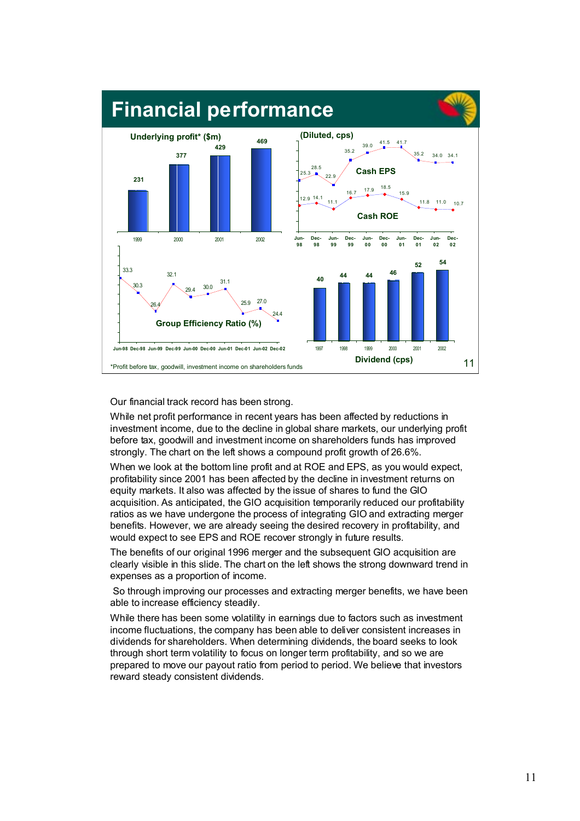

Our financial track record has been strong.

While net profit performance in recent years has been affected by reductions in investment income, due to the decline in global share markets, our underlying profit before tax, goodwill and investment income on shareholders funds has improved strongly. The chart on the left shows a compound profit growth of 26.6%.

When we look at the bottom line profit and at ROE and EPS, as you would expect, profitability since 2001 has been affected by the decline in investment returns on equity markets. It also was affected by the issue of shares to fund the GIO acquisition. As anticipated, the GIO acquisition temporarily reduced our profitability ratios as we have undergone the process of integrating GIO and extracting merger benefits. However, we are already seeing the desired recovery in profitability, and would expect to see EPS and ROE recover strongly in future results.

The benefits of our original 1996 merger and the subsequent GIO acquisition are clearly visible in this slide. The chart on the left shows the strong downward trend in expenses as a proportion of income.

 So through improving our processes and extracting merger benefits, we have been able to increase efficiency steadily.

While there has been some volatility in earnings due to factors such as investment income fluctuations, the company has been able to deliver consistent increases in dividends for shareholders. When determining dividends, the board seeks to look through short term volatility to focus on longer term profitability, and so we are prepared to move our payout ratio from period to period. We believe that investors reward steady consistent dividends.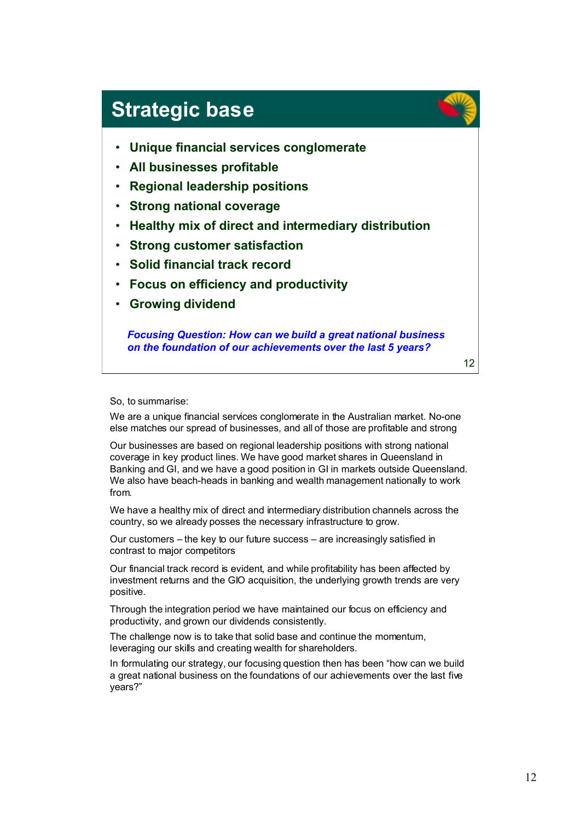## **Strategic base**

- **Unique financial services conglomerate**
- **All businesses profitable**
- **Regional leadership positions**
- **Strong national coverage**
- **Healthy mix of direct and intermediary distribution**
- **Strong customer satisfaction**
- **Solid financial track record**
- **Focus on efficiency and productivity**
- **Growing dividend**

*Focusing Question: How can we build a great national business on the foundation of our achievements over the last 5 years?*

12

#### So, to summarise:

We are a unique financial services conglomerate in the Australian market. No-one else matches our spread of businesses, and all of those are profitable and strong

Our businesses are based on regional leadership positions with strong national coverage in key product lines. We have good market shares in Queensland in Banking and GI, and we have a good position in GI in markets outside Queensland. We also have beach-heads in banking and wealth management nationally to work from.

We have a healthy mix of direct and intermediary distribution channels across the country, so we already posses the necessary infrastructure to grow.

Our customers – the key to our future success – are increasingly satisfied in contrast to major competitors

Our financial track record is evident, and while profitability has been affected by investment returns and the GIO acquisition, the underlying growth trends are very positive.

Through the integration period we have maintained our focus on efficiency and productivity, and grown our dividends consistently.

The challenge now is to take that solid base and continue the momentum, leveraging our skills and creating wealth for shareholders.

In formulating our strategy, our focusing question then has been "how can we build a great national business on the foundations of our achievements over the last five years?"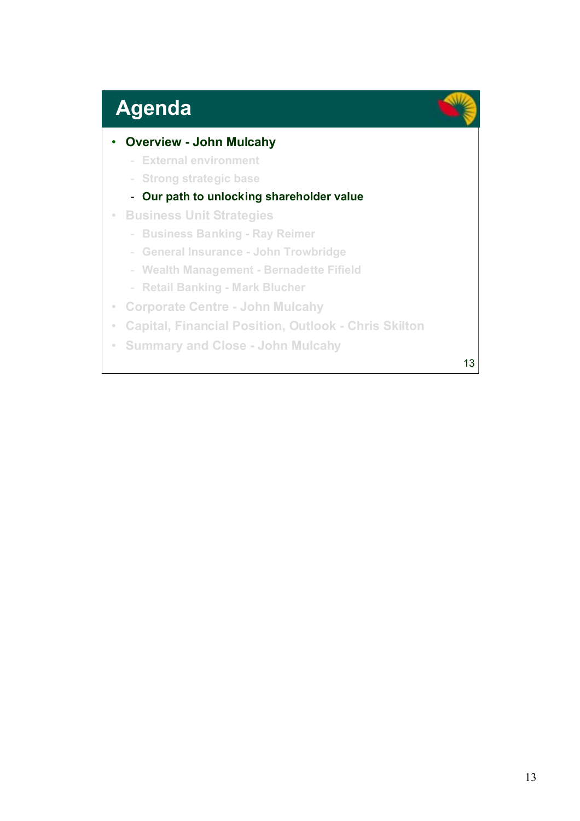# **Agenda**

### • **Overview - John Mulcahy**

- **External environment**
- **Strong strategic base**

### - **Our path to unlocking shareholder value**

- **Business Unit Strategies**
	- **Business Banking Ray Reimer**
	- **General Insurance John Trowbridge**
	- **Wealth Management Bernadette Fifield**
	- **Retail Banking Mark Blucher**
- **Corporate Centre John Mulcahy**
- **Capital, Financial Position, Outlook Chris Skilton**
- **Summary and Close John Mulcahy**

13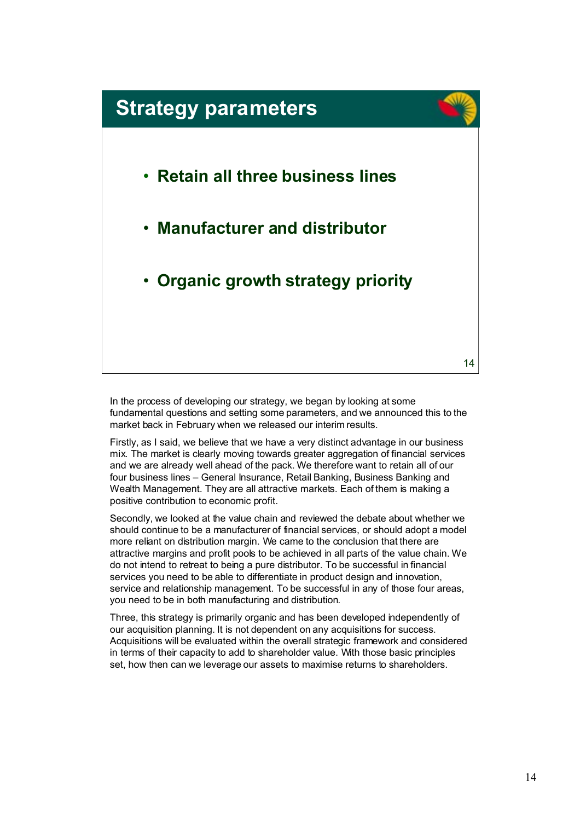

In the process of developing our strategy, we began by looking at some fundamental questions and setting some parameters, and we announced this to the market back in February when we released our interim results.

Firstly, as I said, we believe that we have a very distinct advantage in our business mix. The market is clearly moving towards greater aggregation of financial services and we are already well ahead of the pack. We therefore want to retain all of our four business lines – General Insurance, Retail Banking, Business Banking and Wealth Management. They are all attractive markets. Each of them is making a positive contribution to economic profit.

Secondly, we looked at the value chain and reviewed the debate about whether we should continue to be a manufacturer of financial services, or should adopt a model more reliant on distribution margin. We came to the conclusion that there are attractive margins and profit pools to be achieved in all parts of the value chain. We do not intend to retreat to being a pure distributor. To be successful in financial services you need to be able to differentiate in product design and innovation, service and relationship management. To be successful in any of those four areas, you need to be in both manufacturing and distribution.

Three, this strategy is primarily organic and has been developed independently of our acquisition planning. It is not dependent on any acquisitions for success. Acquisitions will be evaluated within the overall strategic framework and considered in terms of their capacity to add to shareholder value. With those basic principles set, how then can we leverage our assets to maximise returns to shareholders.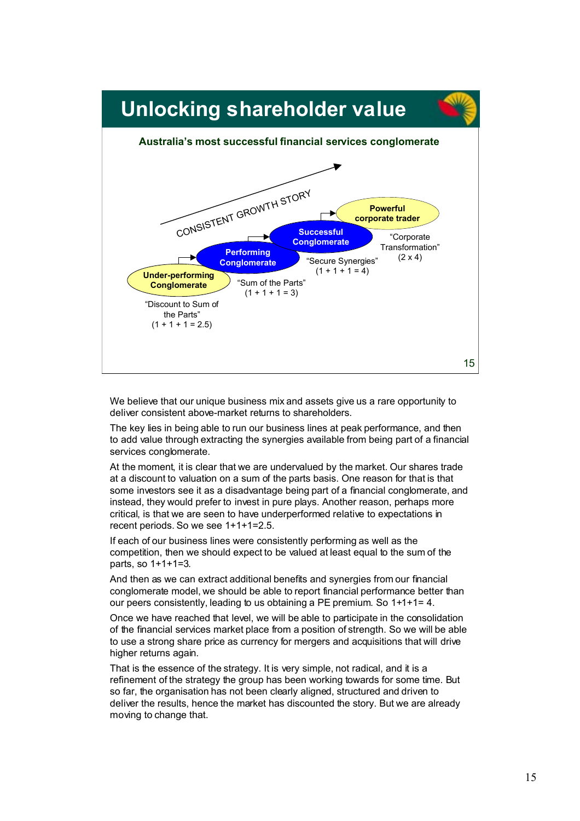

We believe that our unique business mix and assets give us a rare opportunity to deliver consistent above-market returns to shareholders.

The key lies in being able to run our business lines at peak performance, and then to add value through extracting the synergies available from being part of a financial services conglomerate.

At the moment, it is clear that we are undervalued by the market. Our shares trade at a discount to valuation on a sum of the parts basis. One reason for that is that some investors see it as a disadvantage being part of a financial conglomerate, and instead, they would prefer to invest in pure plays. Another reason, perhaps more critical, is that we are seen to have underperformed relative to expectations in recent periods. So we see 1+1+1=2.5.

If each of our business lines were consistently performing as well as the competition, then we should expect to be valued at least equal to the sum of the parts, so 1+1+1=3.

And then as we can extract additional benefits and synergies from our financial conglomerate model, we should be able to report financial performance better than our peers consistently, leading to us obtaining a PE premium. So 1+1+1= 4.

Once we have reached that level, we will be able to participate in the consolidation of the financial services market place from a position of strength. So we will be able to use a strong share price as currency for mergers and acquisitions that will drive higher returns again.

That is the essence of the strategy. It is very simple, not radical, and it is a refinement of the strategy the group has been working towards for some time. But so far, the organisation has not been clearly aligned, structured and driven to deliver the results, hence the market has discounted the story. But we are already moving to change that.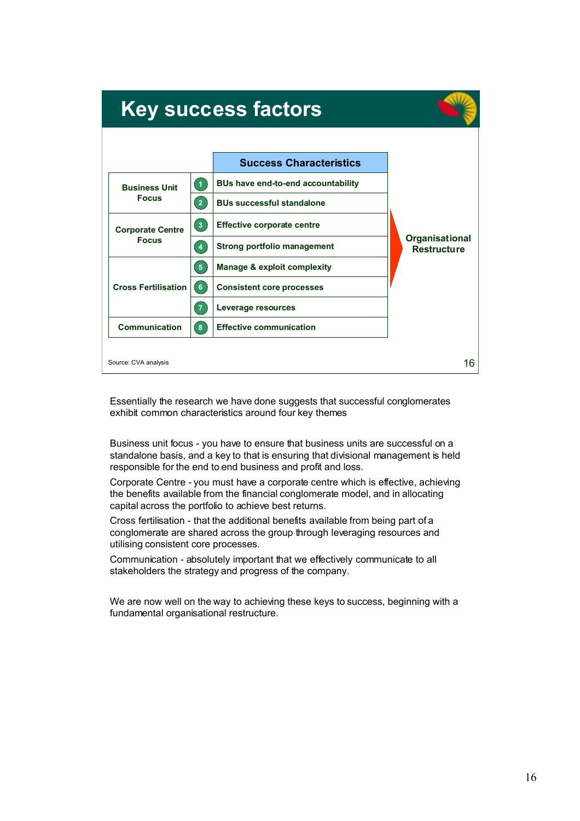| <b>Key success factors</b>              |                    |                                           |                                      |
|-----------------------------------------|--------------------|-------------------------------------------|--------------------------------------|
|                                         |                    | <b>Success Characteristics</b>            |                                      |
| <b>Business Unit</b><br><b>Focus</b>    | $\left( 1 \right)$ | <b>BUs have end-to-end accountability</b> |                                      |
|                                         | $\overline{2}$     | <b>BUs successful standalone</b>          |                                      |
| <b>Corporate Centre</b><br><b>Focus</b> | $\sqrt{3}$         | <b>Effective corporate centre</b>         | Organisational<br><b>Restructure</b> |
|                                         | $\overline{4}$     | <b>Strong portfolio management</b>        |                                      |
| <b>Cross Fertilisation</b>              | 5 <sub>5</sub>     | Manage & exploit complexity               |                                      |
|                                         | 6                  | <b>Consistent core processes</b>          |                                      |
|                                         | $\overline{7}$     | Leverage resources                        |                                      |
| <b>Communication</b>                    | $\mathbf{8}$       | <b>Effective communication</b>            |                                      |
| Source: CVA analysis                    |                    |                                           | 16                                   |

Essentially the research we have done suggests that successful conglomerates exhibit common characteristics around four key themes

Business unit focus - you have to ensure that business units are successful on a standalone basis, and a key to that is ensuring that divisional management is held responsible for the end to end business and profit and loss.

Corporate Centre - you must have a corporate centre which is effective, achieving the benefits available from the financial conglomerate model, and in allocating capital across the portfolio to achieve best returns.

Cross fertilisation - that the additional benefits available from being part of a conglomerate are shared across the group through leveraging resources and utilising consistent core processes.

Communication - absolutely important that we effectively communicate to all stakeholders the strategy and progress of the company.

We are now well on the way to achieving these keys to success, beginning with a fundamental organisational restructure.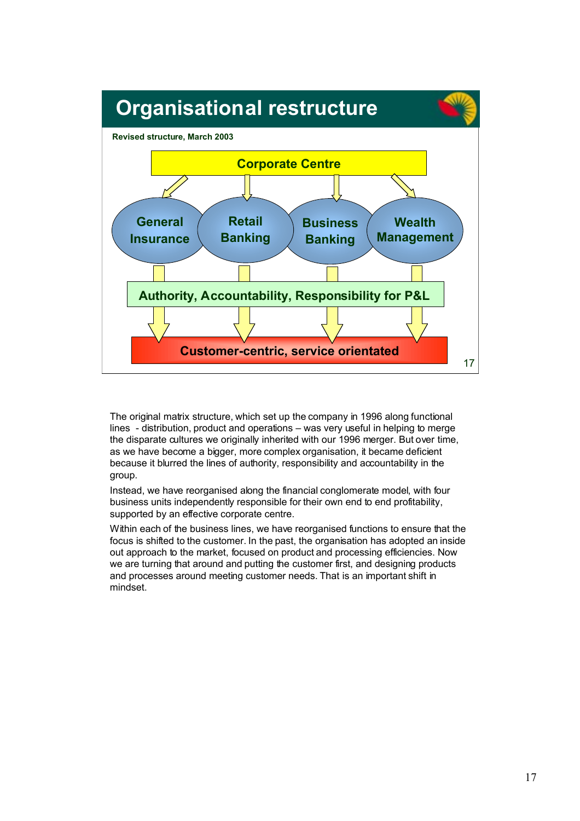

The original matrix structure, which set up the company in 1996 along functional lines - distribution, product and operations – was very useful in helping to merge the disparate cultures we originally inherited with our 1996 merger. But over time, as we have become a bigger, more complex organisation, it became deficient because it blurred the lines of authority, responsibility and accountability in the group.

Instead, we have reorganised along the financial conglomerate model, with four business units independently responsible for their own end to end profitability, supported by an effective corporate centre.

Within each of the business lines, we have reorganised functions to ensure that the focus is shifted to the customer. In the past, the organisation has adopted an inside out approach to the market, focused on product and processing efficiencies. Now we are turning that around and putting the customer first, and designing products and processes around meeting customer needs. That is an important shift in mindset.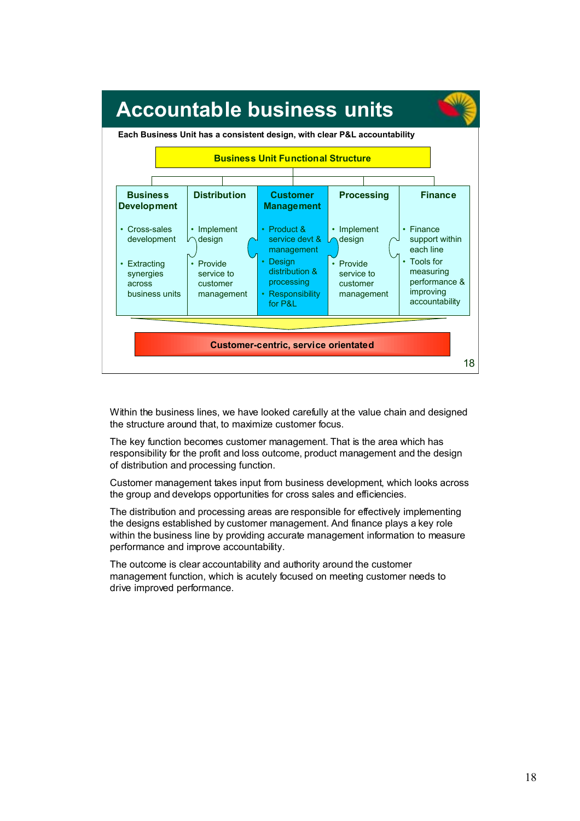

Within the business lines, we have looked carefully at the value chain and designed the structure around that, to maximize customer focus.

The key function becomes customer management. That is the area which has responsibility for the profit and loss outcome, product management and the design of distribution and processing function.

Customer management takes input from business development, which looks across the group and develops opportunities for cross sales and efficiencies.

The distribution and processing areas are responsible for effectively implementing the designs established by customer management. And finance plays a key role within the business line by providing accurate management information to measure performance and improve accountability.

The outcome is clear accountability and authority around the customer management function, which is acutely focused on meeting customer needs to drive improved performance.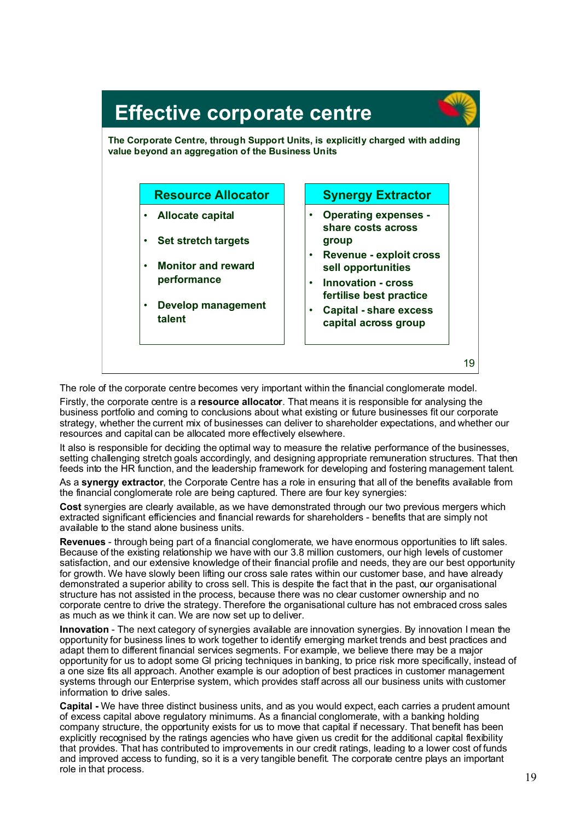

The role of the corporate centre becomes very important within the financial conglomerate model. Firstly, the corporate centre is a **resource allocator**. That means it is responsible for analysing the business portfolio and coming to conclusions about what existing or future businesses fit our corporate strategy, whether the current mix of businesses can deliver to shareholder expectations, and whether our

resources and capital can be allocated more effectively elsewhere. It also is responsible for deciding the optimal way to measure the relative performance of the businesses,

setting challenging stretch goals accordingly, and designing appropriate remuneration structures. That then feeds into the HR function, and the leadership framework for developing and fostering management talent.

As a **synergy extractor**, the Corporate Centre has a role in ensuring that all of the benefits available from the financial conglomerate role are being captured. There are four key synergies:

**Cost** synergies are clearly available, as we have demonstrated through our two previous mergers which extracted significant efficiencies and financial rewards for shareholders - benefits that are simply not available to the stand alone business units.

**Revenues** - through being part of a financial conglomerate, we have enormous opportunities to lift sales. Because of the existing relationship we have with our 3.8 million customers, our high levels of customer satisfaction, and our extensive knowledge of their financial profile and needs, they are our best opportunity for growth. We have slowly been lifting our cross sale rates within our customer base, and have already demonstrated a superior ability to cross sell. This is despite the fact that in the past, our organisational structure has not assisted in the process, because there was no clear customer ownership and no corporate centre to drive the strategy. Therefore the organisational culture has not embraced cross sales as much as we think it can. We are now set up to deliver.

**Innovation** - The next category of synergies available are innovation synergies. By innovation I mean the opportunity for business lines to work together to identify emerging market trends and best practices and adapt them to different financial services segments. For example, we believe there may be a major opportunity for us to adopt some GI pricing techniques in banking, to price risk more specifically, instead of a one size fits all approach. Another example is our adoption of best practices in customer management systems through our Enterprise system, which provides staff across all our business units with customer information to drive sales.

**Capital -** We have three distinct business units, and as you would expect, each carries a prudent amount of excess capital above regulatory minimums. As a financial conglomerate, with a banking holding company structure, the opportunity exists for us to move that capital if necessary. That benefit has been explicitly recognised by the ratings agencies who have given us credit for the additional capital flexibility that provides. That has contributed to improvements in our credit ratings, leading to a lower cost of funds and improved access to funding, so it is a very tangible benefit. The corporate centre plays an important role in that process.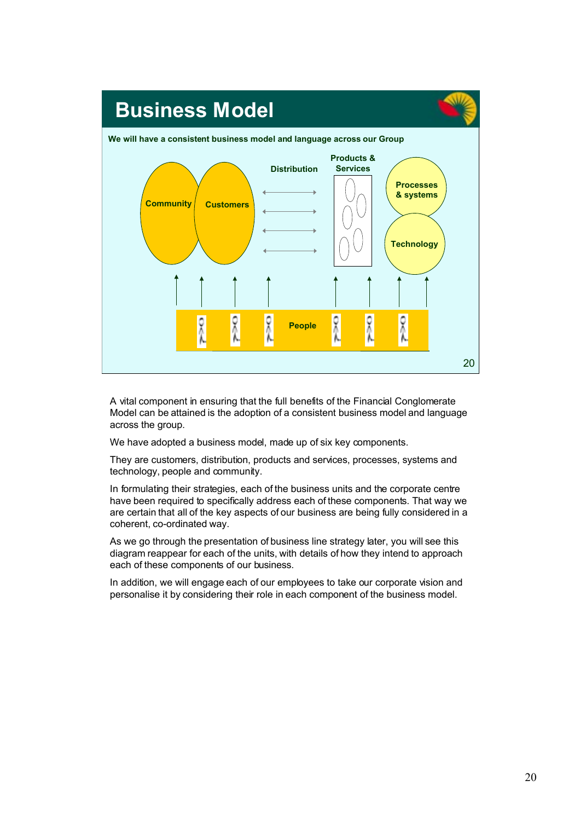

A vital component in ensuring that the full benefits of the Financial Conglomerate Model can be attained is the adoption of a consistent business model and language across the group.

We have adopted a business model, made up of six key components.

They are customers, distribution, products and services, processes, systems and technology, people and community.

In formulating their strategies, each of the business units and the corporate centre have been required to specifically address each of these components. That way we are certain that all of the key aspects of our business are being fully considered in a coherent, co-ordinated way.

As we go through the presentation of business line strategy later, you will see this diagram reappear for each of the units, with details of how they intend to approach each of these components of our business.

In addition, we will engage each of our employees to take our corporate vision and personalise it by considering their role in each component of the business model.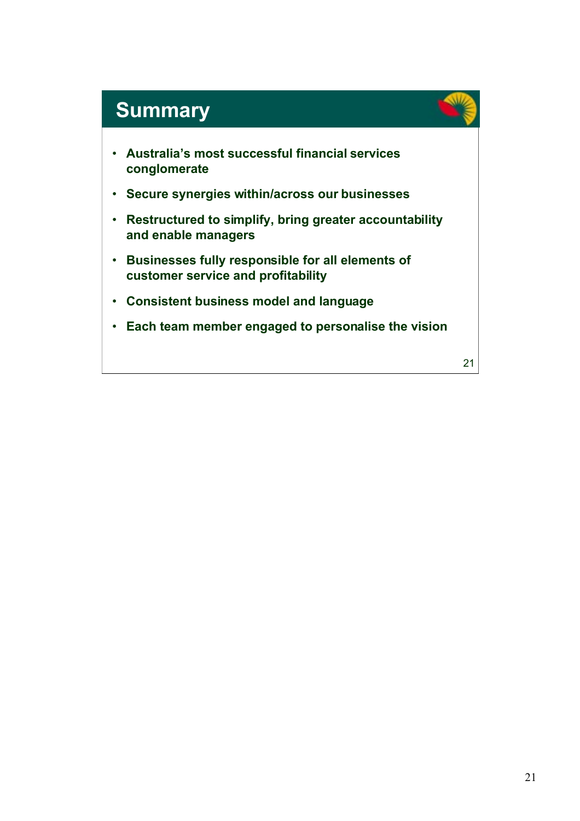## **Summary**

- **Australia's most successful financial services conglomerate**
- **Secure synergies within/across our businesses**
- **Restructured to simplify, bring greater accountability and enable managers**
- **Businesses fully responsible for all elements of customer service and profitability**
- **Consistent business model and language**
- **Each team member engaged to personalise the vision**

21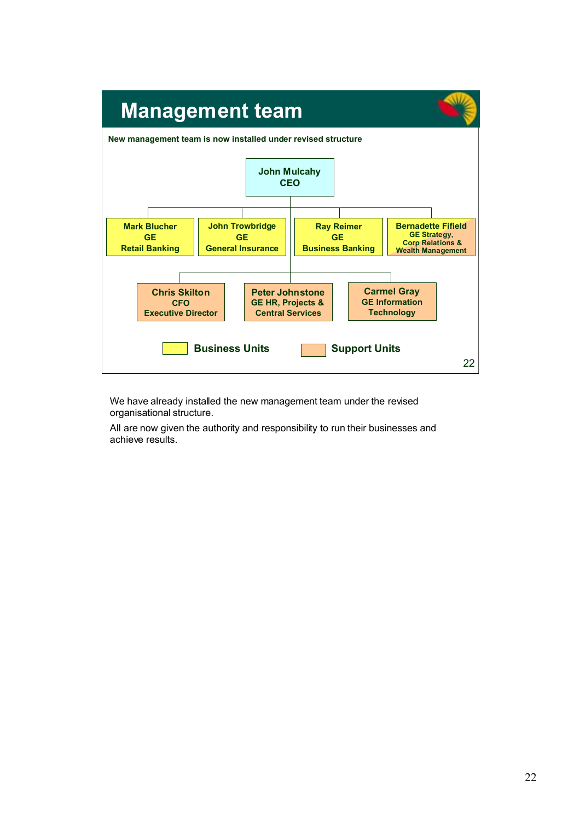

We have already installed the new management team under the revised organisational structure.

All are now given the authority and responsibility to run their businesses and achieve results.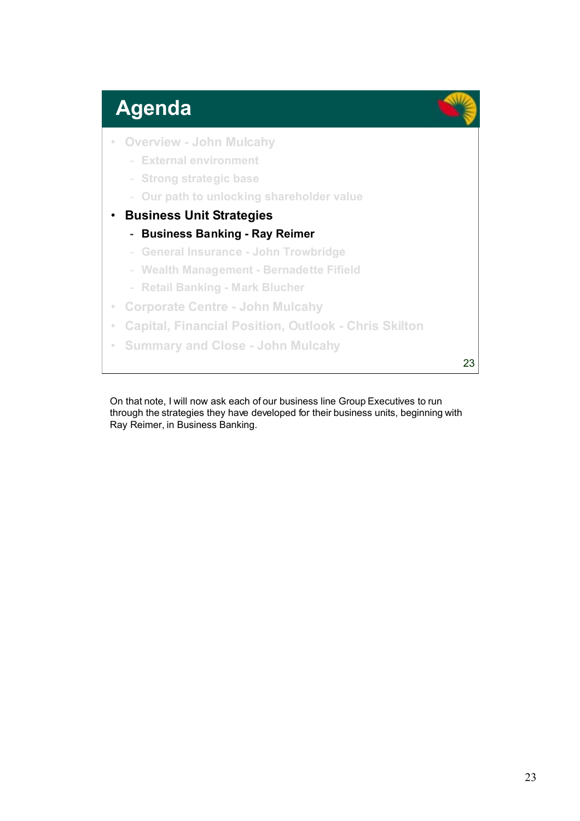## **Agenda**

- **Overview John Mulcahy**
	- **External environment**
	- **Strong strategic base**
	- **Our path to unlocking shareholder value**
- **Business Unit Strategies**
	- **Business Banking Ray Reimer**
	- **General Insurance John Trowbridge**
	- **Wealth Management Bernadette Fifield**
	- **Retail Banking Mark Blucher**
- **Corporate Centre John Mulcahy**
- **Capital, Financial Position, Outlook Chris Skilton**
- **Summary and Close John Mulcahy**

23

On that note, I will now ask each of our business line Group Executives to run through the strategies they have developed for their business units, beginning with Ray Reimer, in Business Banking.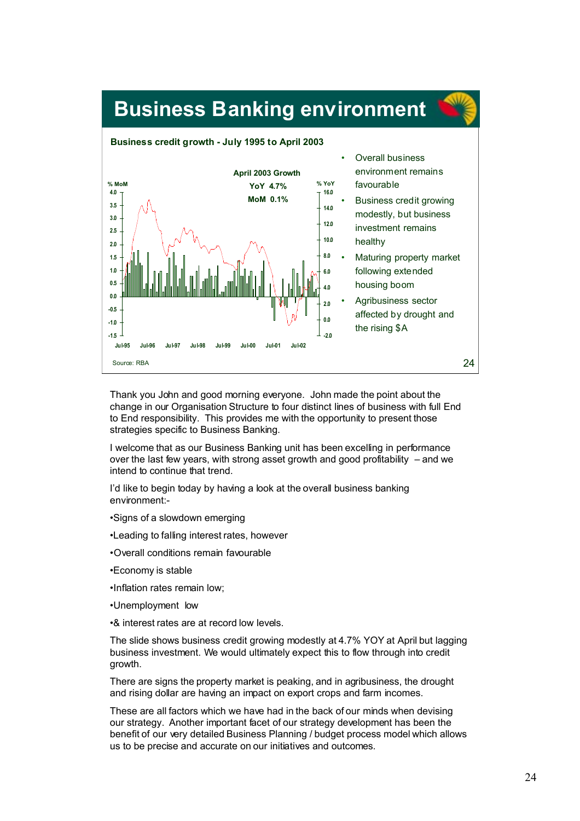

Thank you John and good morning everyone. John made the point about the change in our Organisation Structure to four distinct lines of business with full End to End responsibility. This provides me with the opportunity to present those strategies specific to Business Banking.

I welcome that as our Business Banking unit has been excelling in performance over the last few years, with strong asset growth and good profitability – and we intend to continue that trend.

I'd like to begin today by having a look at the overall business banking environment:-

- •Signs of a slowdown emerging
- •Leading to falling interest rates, however
- •Overall conditions remain favourable
- •Economy is stable
- •Inflation rates remain low;
- •Unemployment low
- •& interest rates are at record low levels.

The slide shows business credit growing modestly at 4.7% YOY at April but lagging business investment. We would ultimately expect this to flow through into credit growth.

There are signs the property market is peaking, and in agribusiness, the drought and rising dollar are having an impact on export crops and farm incomes.

These are all factors which we have had in the back of our minds when devising our strategy. Another important facet of our strategy development has been the benefit of our very detailed Business Planning / budget process model which allows us to be precise and accurate on our initiatives and outcomes.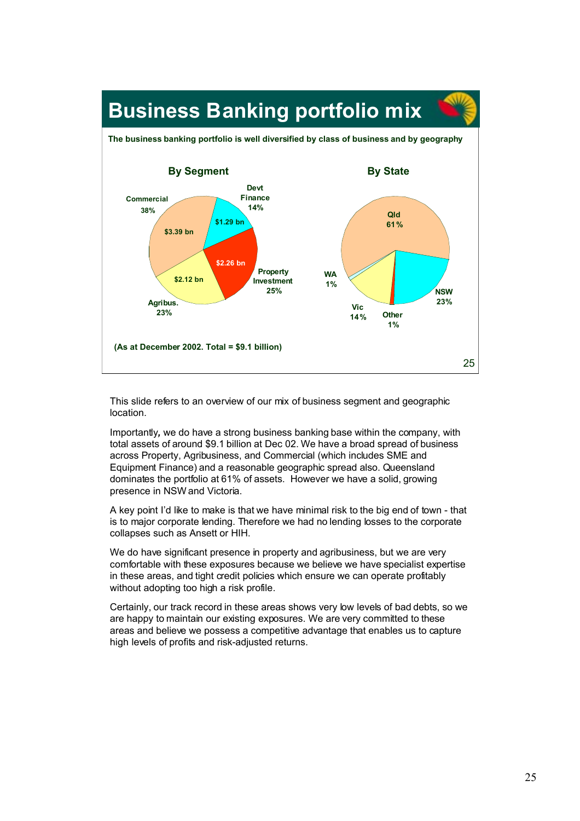

This slide refers to an overview of our mix of business segment and geographic location.

Importantly*,* we do have a strong business banking base within the company, with total assets of around \$9.1 billion at Dec 02. We have a broad spread of business across Property, Agribusiness, and Commercial (which includes SME and Equipment Finance) and a reasonable geographic spread also. Queensland dominates the portfolio at 61% of assets. However we have a solid, growing presence in NSW and Victoria.

A key point I'd like to make is that we have minimal risk to the big end of town - that is to major corporate lending. Therefore we had no lending losses to the corporate collapses such as Ansett or HIH.

We do have significant presence in property and agribusiness, but we are very comfortable with these exposures because we believe we have specialist expertise in these areas, and tight credit policies which ensure we can operate profitably without adopting too high a risk profile.

Certainly, our track record in these areas shows very low levels of bad debts, so we are happy to maintain our existing exposures. We are very committed to these areas and believe we possess a competitive advantage that enables us to capture high levels of profits and risk-adjusted returns.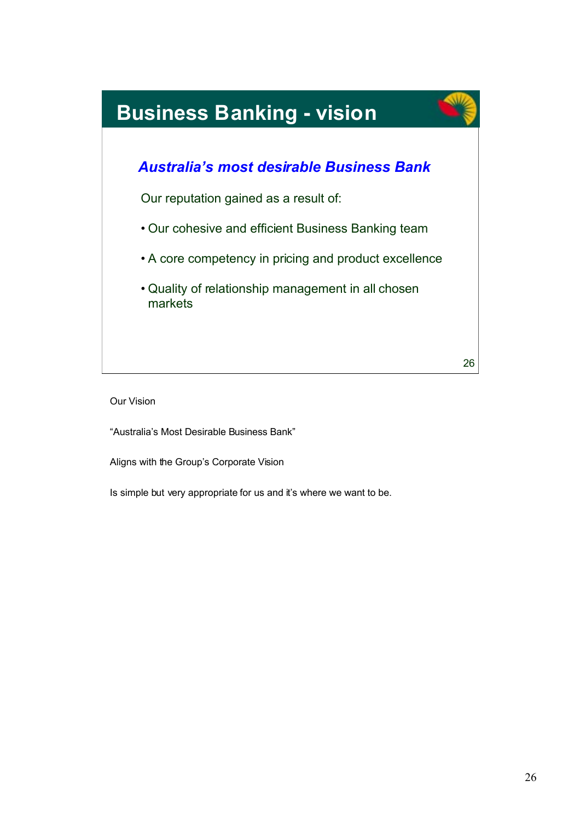

Our Vision

"Australia's Most Desirable Business Bank"

Aligns with the Group's Corporate Vision

Is simple but very appropriate for us and it's where we want to be.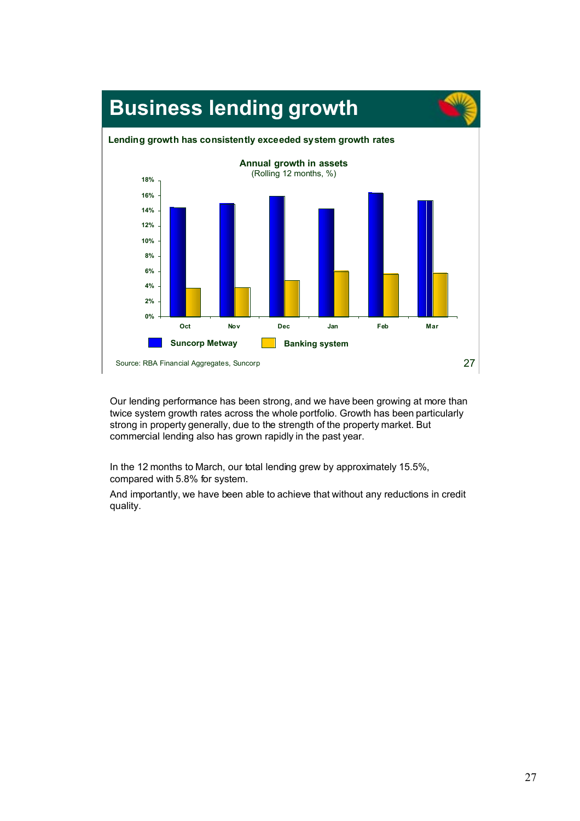

Our lending performance has been strong, and we have been growing at more than twice system growth rates across the whole portfolio. Growth has been particularly strong in property generally, due to the strength of the property market. But commercial lending also has grown rapidly in the past year.

In the 12 months to March, our total lending grew by approximately 15.5%, compared with 5.8% for system.

And importantly, we have been able to achieve that without any reductions in credit quality.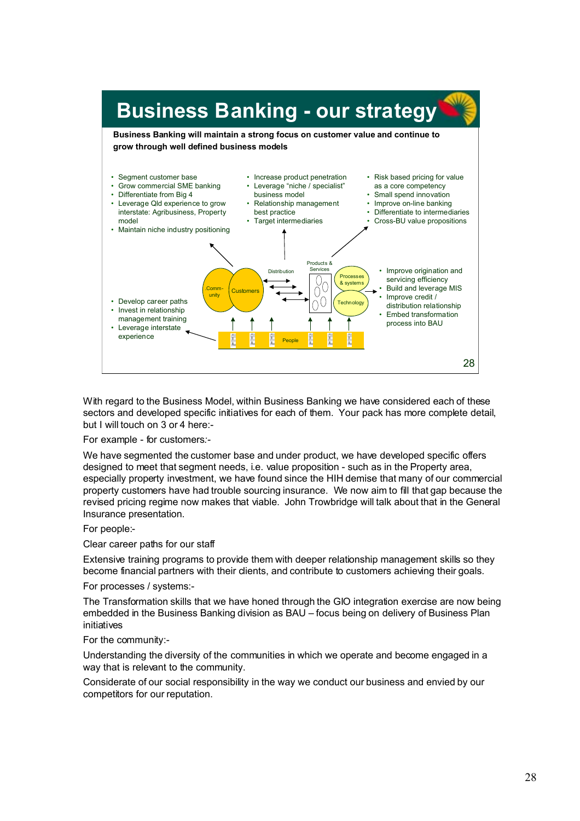

With regard to the Business Model, within Business Banking we have considered each of these sectors and developed specific initiatives for each of them. Your pack has more complete detail, but I will touch on 3 or 4 here:-

For example - for customers*:-*

We have segmented the customer base and under product, we have developed specific offers designed to meet that segment needs, i.e. value proposition - such as in the Property area, especially property investment, we have found since the HIH demise that many of our commercial property customers have had trouble sourcing insurance. We now aim to fill that gap because the revised pricing regime now makes that viable. John Trowbridge will talk about that in the General Insurance presentation.

#### For people:-

Clear career paths for our staff

Extensive training programs to provide them with deeper relationship management skills so they become financial partners with their clients, and contribute to customers achieving their goals.

For processes / systems:-

The Transformation skills that we have honed through the GIO integration exercise are now being embedded in the Business Banking division as BAU – focus being on delivery of Business Plan initiatives

#### For the community:-

Understanding the diversity of the communities in which we operate and become engaged in a way that is relevant to the community.

Considerate of our social responsibility in the way we conduct our business and envied by our competitors for our reputation.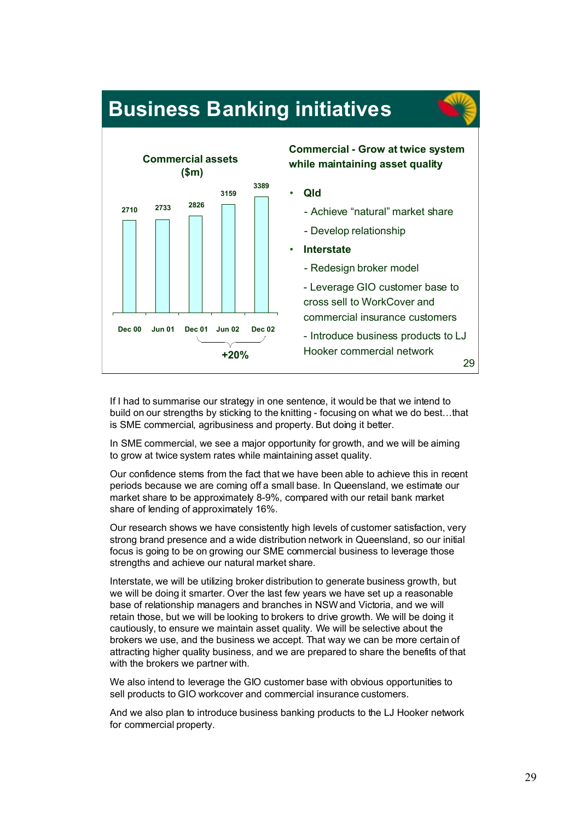



If I had to summarise our strategy in one sentence, it would be that we intend to build on our strengths by sticking to the knitting - focusing on what we do best…that is SME commercial, agribusiness and property. But doing it better.

In SME commercial, we see a major opportunity for growth, and we will be aiming to grow at twice system rates while maintaining asset quality.

Our confidence stems from the fact that we have been able to achieve this in recent periods because we are coming off a small base. In Queensland, we estimate our market share to be approximately 8-9%, compared with our retail bank market share of lending of approximately 16%.

Our research shows we have consistently high levels of customer satisfaction, very strong brand presence and a wide distribution network in Queensland, so our initial focus is going to be on growing our SME commercial business to leverage those strengths and achieve our natural market share.

Interstate, we will be utilizing broker distribution to generate business growth, but we will be doing it smarter. Over the last few years we have set up a reasonable base of relationship managers and branches in NSW and Victoria, and we will retain those, but we will be looking to brokers to drive growth. We will be doing it cautiously, to ensure we maintain asset quality. We will be selective about the brokers we use, and the business we accept. That way we can be more certain of attracting higher quality business, and we are prepared to share the benefits of that with the brokers we partner with.

We also intend to leverage the GIO customer base with obvious opportunities to sell products to GIO workcover and commercial insurance customers.

And we also plan to introduce business banking products to the LJ Hooker network for commercial property.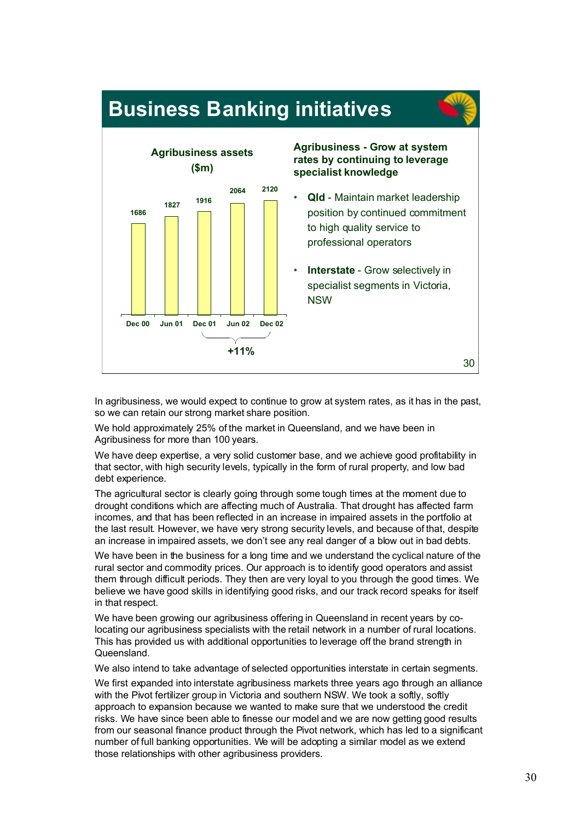



In agribusiness, we would expect to continue to grow at system rates, as it has in the past, so we can retain our strong market share position.

We hold approximately 25% of the market in Queensland, and we have been in Agribusiness for more than 100 years.

We have deep expertise, a very solid customer base, and we achieve good profitability in that sector, with high security levels, typically in the form of rural property, and low bad debt experience.

The agricultural sector is clearly going through some tough times at the moment due to drought conditions which are affecting much of Australia. That drought has affected farm incomes, and that has been reflected in an increase in impaired assets in the portfolio at the last result. However, we have very strong security levels, and because of that, despite an increase in impaired assets, we don't see any real danger of a blow out in bad debts.

We have been in the business for a long time and we understand the cyclical nature of the rural sector and commodity prices. Our approach is to identify good operators and assist them through difficult periods. They then are very loyal to you through the good times. We believe we have good skills in identifying good risks, and our track record speaks for itself in that respect.

We have been growing our agribusiness offering in Queensland in recent years by colocating our agribusiness specialists with the retail network in a number of rural locations. This has provided us with additional opportunities to leverage off the brand strength in Queensland.

We also intend to take advantage of selected opportunities interstate in certain segments.

We first expanded into interstate agribusiness markets three years ago through an alliance with the Pivot fertilizer group in Victoria and southern NSW. We took a softly, softly approach to expansion because we wanted to make sure that we understood the credit risks. We have since been able to finesse our model and we are now getting good results from our seasonal finance product through the Pivot network, which has led to a significant number of full banking opportunities. We will be adopting a similar model as we extend those relationships with other agribusiness providers.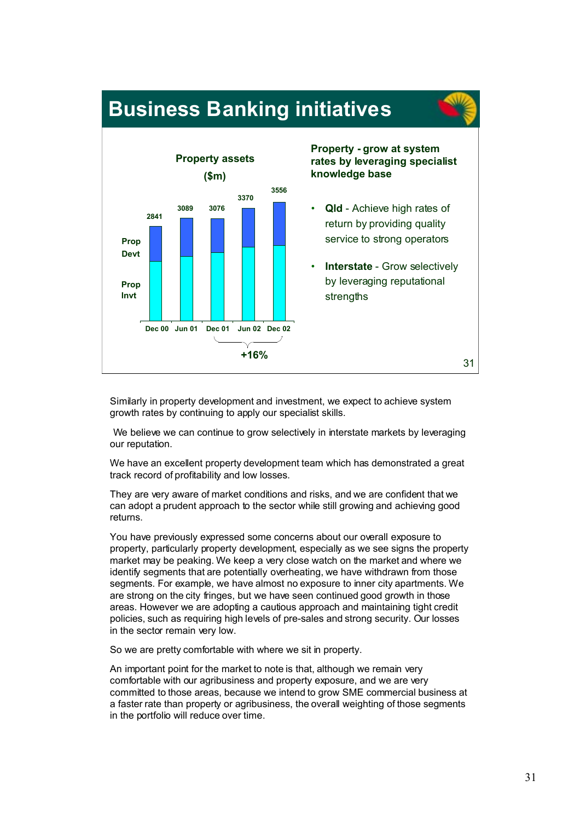

Similarly in property development and investment, we expect to achieve system growth rates by continuing to apply our specialist skills.

We believe we can continue to grow selectively in interstate markets by leveraging our reputation.

We have an excellent property development team which has demonstrated a great track record of profitability and low losses.

They are very aware of market conditions and risks, and we are confident that we can adopt a prudent approach to the sector while still growing and achieving good returns.

You have previously expressed some concerns about our overall exposure to property, particularly property development, especially as we see signs the property market may be peaking. We keep a very close watch on the market and where we identify segments that are potentially overheating, we have withdrawn from those segments. For example, we have almost no exposure to inner city apartments. We are strong on the city fringes, but we have seen continued good growth in those areas. However we are adopting a cautious approach and maintaining tight credit policies, such as requiring high levels of pre-sales and strong security. Our losses in the sector remain very low.

So we are pretty comfortable with where we sit in property.

An important point for the market to note is that, although we remain very comfortable with our agribusiness and property exposure, and we are very committed to those areas, because we intend to grow SME commercial business at a faster rate than property or agribusiness, the overall weighting of those segments in the portfolio will reduce over time.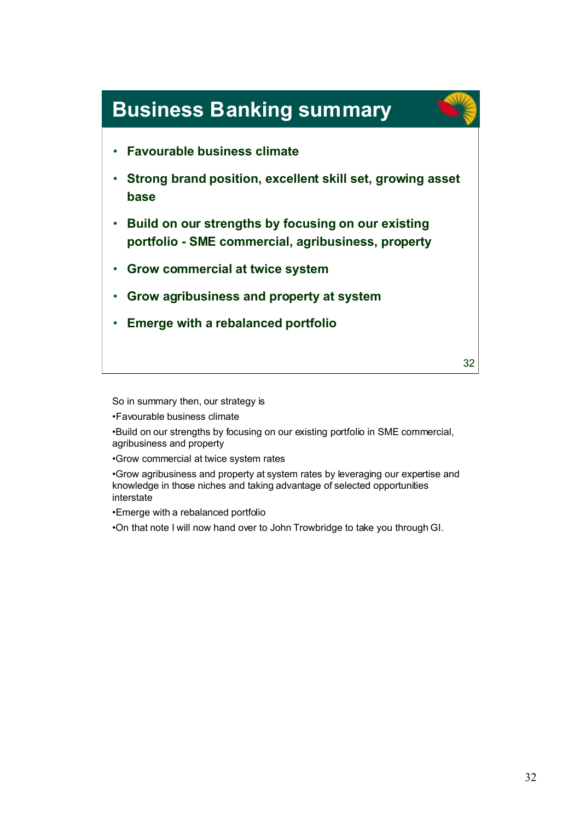

So in summary then, our strategy is

•Favourable business climate

•Build on our strengths by focusing on our existing portfolio in SME commercial, agribusiness and property

•Grow commercial at twice system rates

•Grow agribusiness and property at system rates by leveraging our expertise and knowledge in those niches and taking advantage of selected opportunities interstate

•Emerge with a rebalanced portfolio

•On that note I will now hand over to John Trowbridge to take you through GI.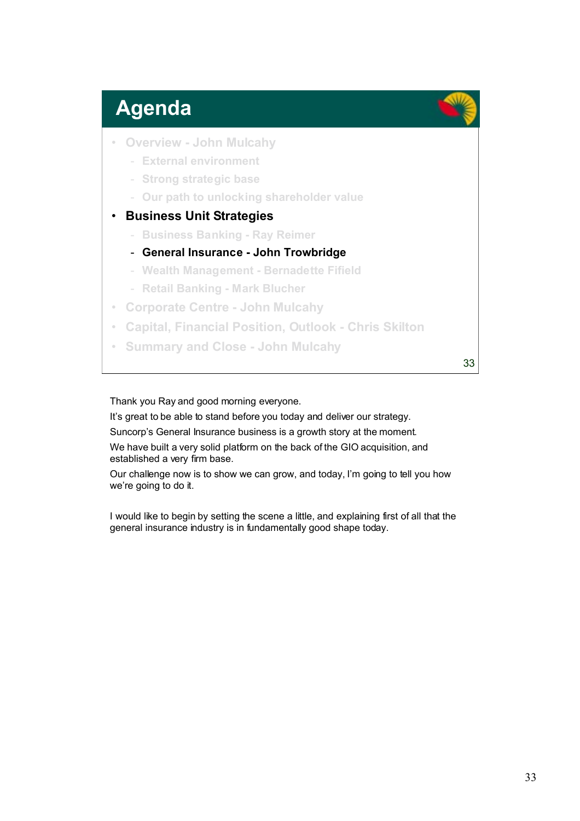## **Agenda**

- **Overview John Mulcahy**
	- **External environment**
	- **Strong strategic base**
	- **Our path to unlocking shareholder value**
- **Business Unit Strategies**
	- **Business Banking Ray Reimer**
	- **General Insurance John Trowbridge**
	- **Wealth Management Bernadette Fifield**
	- **Retail Banking Mark Blucher**
- **Corporate Centre John Mulcahy**
- **Capital, Financial Position, Outlook Chris Skilton**
- **Summary and Close John Mulcahy**

33

#### Thank you Ray and good morning everyone.

It's great to be able to stand before you today and deliver our strategy.

Suncorp's General Insurance business is a growth story at the moment.

We have built a very solid platform on the back of the GIO acquisition, and established a very firm base.

Our challenge now is to show we can grow, and today, I'm going to tell you how we're going to do it.

I would like to begin by setting the scene a little, and explaining first of all that the general insurance industry is in fundamentally good shape today.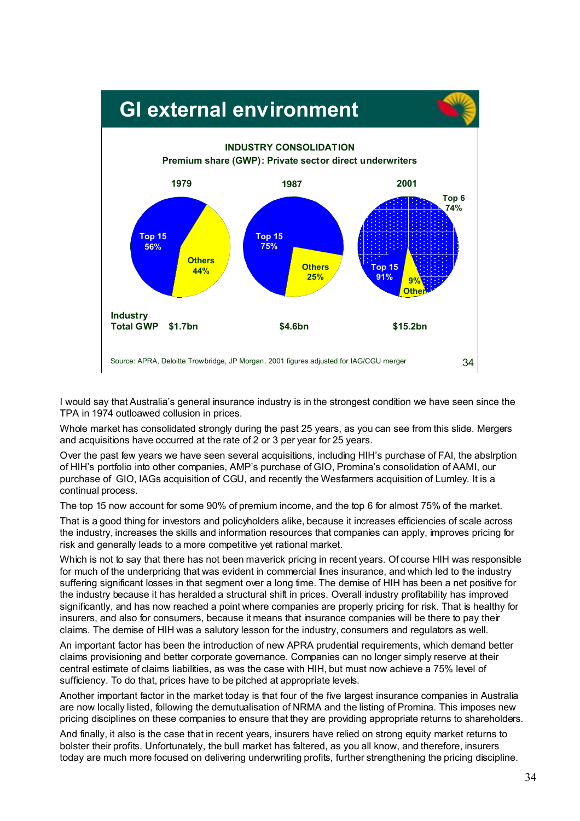

I would say that Australia's general insurance industry is in the strongest condition we have seen since the TPA in 1974 outloawed collusion in prices.

Whole market has consolidated strongly during the past 25 years, as you can see from this slide. Mergers and acquisitions have occurred at the rate of 2 or 3 per year for 25 years.

Over the past few years we have seen several acquisitions, including HIH's purchase of FAI, the abslrption of HIH's portfolio into other companies, AMP's purchase of GIO, Promina's consolidation of AAMI, our purchase of GIO, IAGs acquisition of CGU, and recently the Wesfarmers acquisition of Lumley. It is a continual process.

The top 15 now account for some 90% of premium income, and the top 6 for almost 75% of the market.

That is a good thing for investors and policyholders alike, because it increases efficiencies of scale across the industry, increases the skills and information resources that companies can apply, improves pricing for risk and generally leads to a more competitive yet rational market.

Which is not to say that there has not been maverick pricing in recent years. Of course HIH was responsible for much of the underpricing that was evident in commercial lines insurance, and which led to the industry suffering significant losses in that segment over a long time. The demise of HIH has been a net positive for the industry because it has heralded a structural shift in prices. Overall industry profitability has improved significantly, and has now reached a point where companies are properly pricing for risk. That is healthy for insurers, and also for consumers, because it means that insurance companies will be there to pay their claims. The demise of HIH was a salutory lesson for the industry, consumers and regulators as well.

An important factor has been the introduction of new APRA prudential requirements, which demand better claims provisioning and better corporate governance. Companies can no longer simply reserve at their central estimate of claims liabilities, as was the case with HIH, but must now achieve a 75% level of sufficiency. To do that, prices have to be pitched at appropriate levels.

Another important factor in the market today is that four of the five largest insurance companies in Australia are now locally listed, following the demutualisation of NRMA and the listing of Promina. This imposes new pricing disciplines on these companies to ensure that they are providing appropriate returns to shareholders.

And finally, it also is the case that in recent years, insurers have relied on strong equity market returns to bolster their profits. Unfortunately, the bull market has faltered, as you all know, and therefore, insurers today are much more focused on delivering underwriting profits, further strengthening the pricing discipline.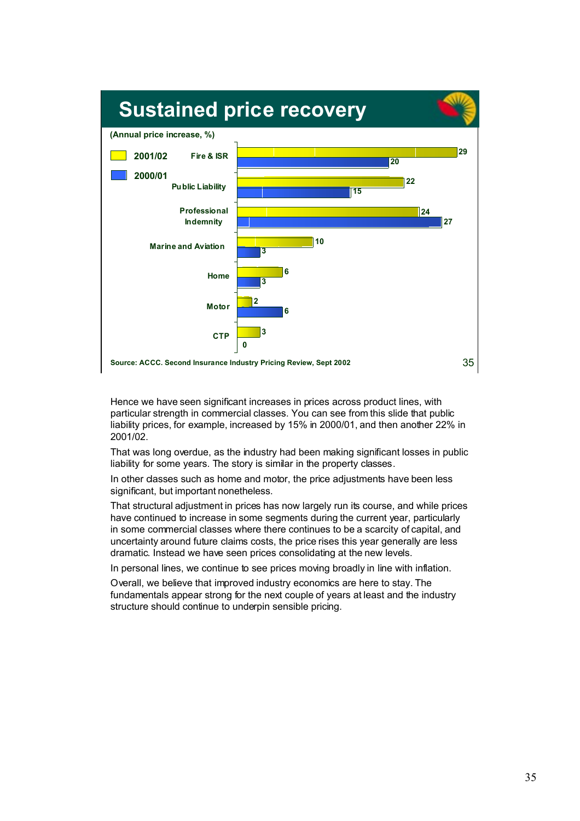

Hence we have seen significant increases in prices across product lines, with particular strength in commercial classes. You can see from this slide that public liability prices, for example, increased by 15% in 2000/01, and then another 22% in 2001/02.

That was long overdue, as the industry had been making significant losses in public liability for some years. The story is similar in the property classes.

In other classes such as home and motor, the price adjustments have been less significant, but important nonetheless.

That structural adjustment in prices has now largely run its course, and while prices have continued to increase in some segments during the current year, particularly in some commercial classes where there continues to be a scarcity of capital, and uncertainty around future claims costs, the price rises this year generally are less dramatic. Instead we have seen prices consolidating at the new levels.

In personal lines, we continue to see prices moving broadly in line with inflation.

Overall, we believe that improved industry economics are here to stay. The fundamentals appear strong for the next couple of years at least and the industry structure should continue to underpin sensible pricing.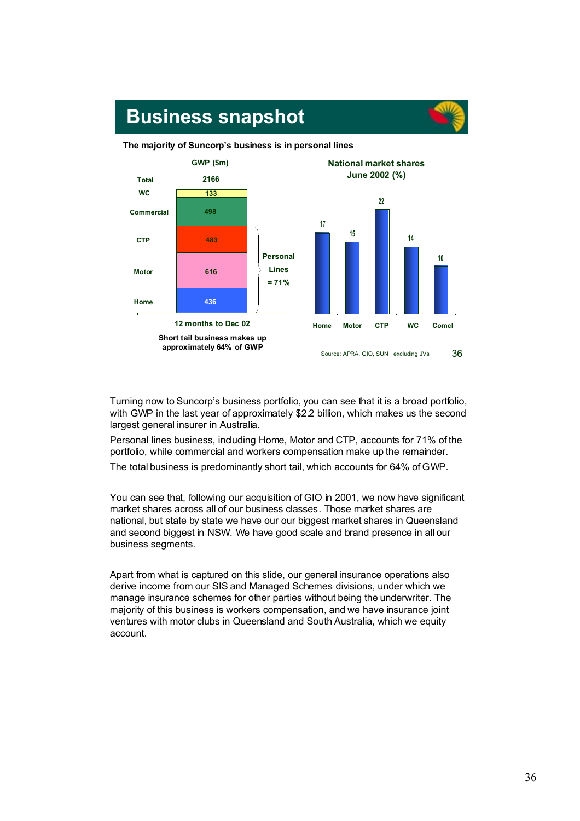

Turning now to Suncorp's business portfolio, you can see that it is a broad portfolio, with GWP in the last year of approximately \$2.2 billion, which makes us the second largest general insurer in Australia.

Personal lines business, including Home, Motor and CTP, accounts for 71% of the portfolio, while commercial and workers compensation make up the remainder.

The total business is predominantly short tail, which accounts for 64% of GWP.

You can see that, following our acquisition of GIO in 2001, we now have significant market shares across all of our business classes. Those market shares are national, but state by state we have our our biggest market shares in Queensland and second biggest in NSW. We have good scale and brand presence in all our business segments.

Apart from what is captured on this slide, our general insurance operations also derive income from our SIS and Managed Schemes divisions, under which we manage insurance schemes for other parties without being the underwriter. The majority of this business is workers compensation, and we have insurance joint ventures with motor clubs in Queensland and South Australia, which we equity account.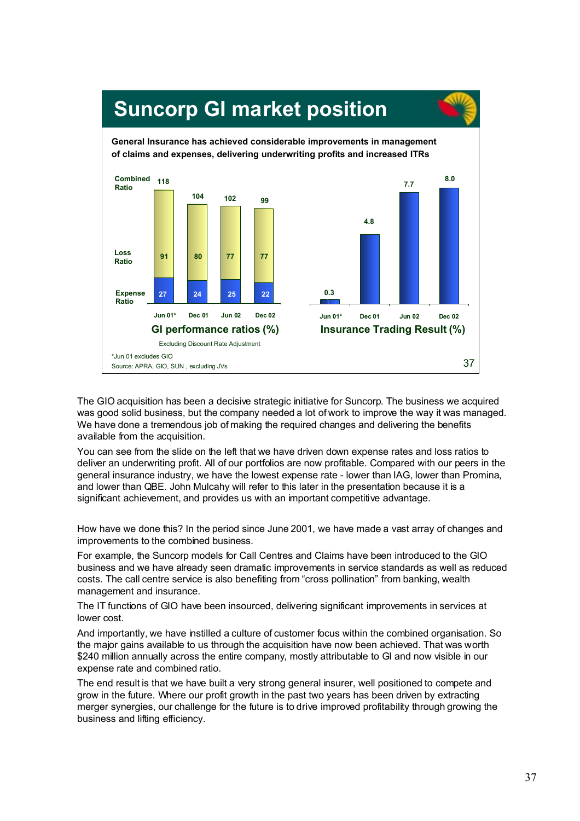

The GIO acquisition has been a decisive strategic initiative for Suncorp. The business we acquired was good solid business, but the company needed a lot of work to improve the way it was managed. We have done a tremendous job of making the required changes and delivering the benefits available from the acquisition.

You can see from the slide on the left that we have driven down expense rates and loss ratios to deliver an underwriting profit. All of our portfolios are now profitable. Compared with our peers in the general insurance industry, we have the lowest expense rate - lower than IAG, lower than Promina, and lower than QBE. John Mulcahy will refer to this later in the presentation because it is a significant achievement, and provides us with an important competitive advantage.

How have we done this? In the period since June 2001, we have made a vast array of changes and improvements to the combined business.

For example, the Suncorp models for Call Centres and Claims have been introduced to the GIO business and we have already seen dramatic improvements in service standards as well as reduced costs. The call centre service is also benefiting from "cross pollination" from banking, wealth management and insurance.

The IT functions of GIO have been insourced, delivering significant improvements in services at lower cost.

And importantly, we have instilled a culture of customer focus within the combined organisation. So the major gains available to us through the acquisition have now been achieved. That was worth \$240 million annually across the entire company, mostly attributable to GI and now visible in our expense rate and combined ratio.

The end result is that we have built a very strong general insurer, well positioned to compete and grow in the future. Where our profit growth in the past two years has been driven by extracting merger synergies, our challenge for the future is to drive improved profitability through growing the business and lifting efficiency.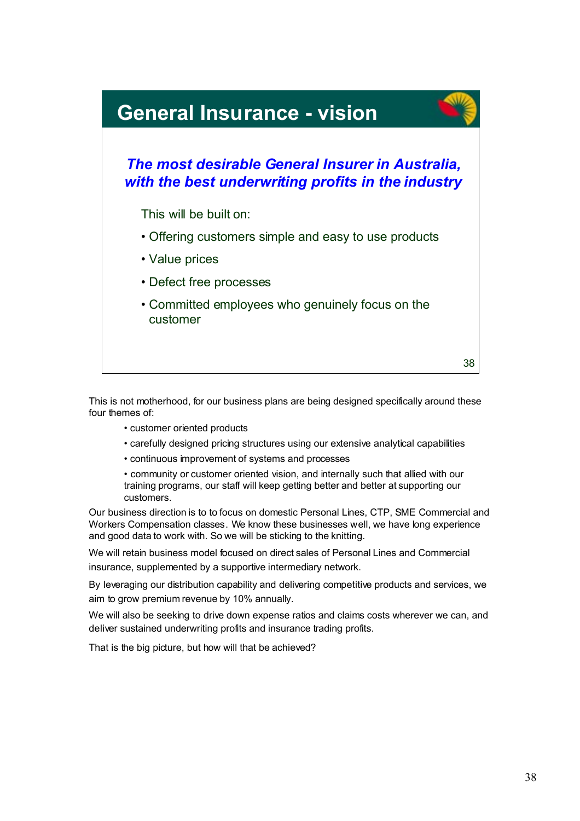

This is not motherhood, for our business plans are being designed specifically around these four themes of:

- customer oriented products
- carefully designed pricing structures using our extensive analytical capabilities
- continuous improvement of systems and processes

• community or customer oriented vision, and internally such that allied with our training programs, our staff will keep getting better and better at supporting our customers.

Our business direction is to to focus on domestic Personal Lines, CTP, SME Commercial and Workers Compensation classes. We know these businesses well, we have long experience and good data to work with. So we will be sticking to the knitting.

We will retain business model focused on direct sales of Personal Lines and Commercial insurance, supplemented by a supportive intermediary network.

By leveraging our distribution capability and delivering competitive products and services, we aim to grow premium revenue by 10% annually.

We will also be seeking to drive down expense ratios and claims costs wherever we can, and deliver sustained underwriting profits and insurance trading profits.

That is the big picture, but how will that be achieved?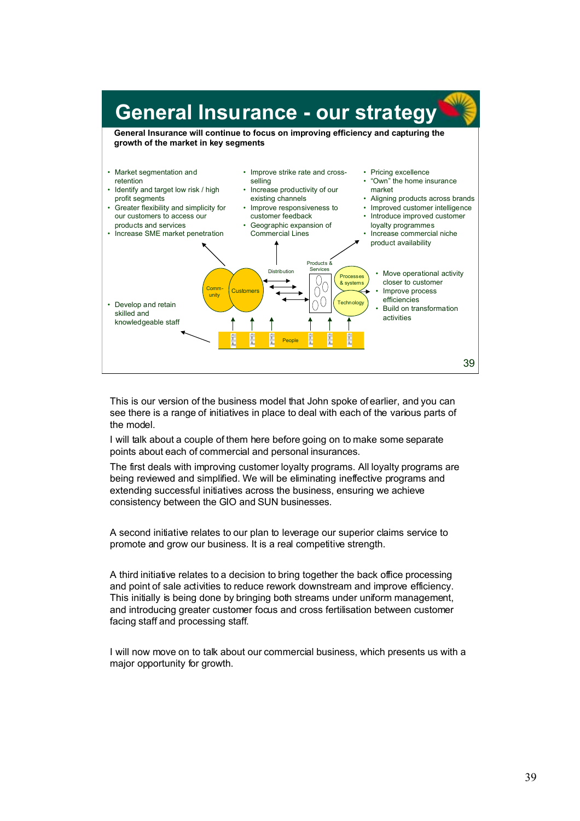

This is our version of the business model that John spoke of earlier, and you can see there is a range of initiatives in place to deal with each of the various parts of the model.

I will talk about a couple of them here before going on to make some separate points about each of commercial and personal insurances.

The first deals with improving customer loyalty programs. All loyalty programs are being reviewed and simplified. We will be eliminating ineffective programs and extending successful initiatives across the business, ensuring we achieve consistency between the GIO and SUN businesses.

A second initiative relates to our plan to leverage our superior claims service to promote and grow our business. It is a real competitive strength.

A third initiative relates to a decision to bring together the back office processing and point of sale activities to reduce rework downstream and improve efficiency. This initially is being done by bringing both streams under uniform management, and introducing greater customer focus and cross fertilisation between customer facing staff and processing staff.

I will now move on to talk about our commercial business, which presents us with a major opportunity for growth.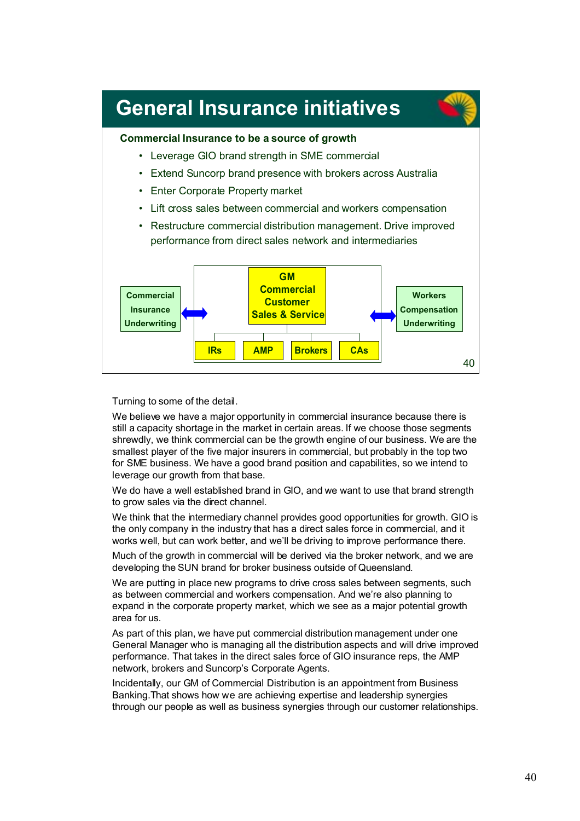

Turning to some of the detail.

We believe we have a major opportunity in commercial insurance because there is still a capacity shortage in the market in certain areas. If we choose those segments shrewdly, we think commercial can be the growth engine of our business. We are the smallest player of the five major insurers in commercial, but probably in the top two for SME business. We have a good brand position and capabilities, so we intend to leverage our growth from that base.

We do have a well established brand in GIO, and we want to use that brand strength to grow sales via the direct channel.

We think that the intermediary channel provides good opportunities for growth. GIO is the only company in the industry that has a direct sales force in commercial, and it works well, but can work better, and we'll be driving to improve performance there.

Much of the growth in commercial will be derived via the broker network, and we are developing the SUN brand for broker business outside of Queensland.

We are putting in place new programs to drive cross sales between segments, such as between commercial and workers compensation. And we're also planning to expand in the corporate property market, which we see as a major potential growth area for us.

As part of this plan, we have put commercial distribution management under one General Manager who is managing all the distribution aspects and will drive improved performance. That takes in the direct sales force of GIO insurance reps, the AMP network, brokers and Suncorp's Corporate Agents.

Incidentally, our GM of Commercial Distribution is an appointment from Business Banking.That shows how we are achieving expertise and leadership synergies through our people as well as business synergies through our customer relationships.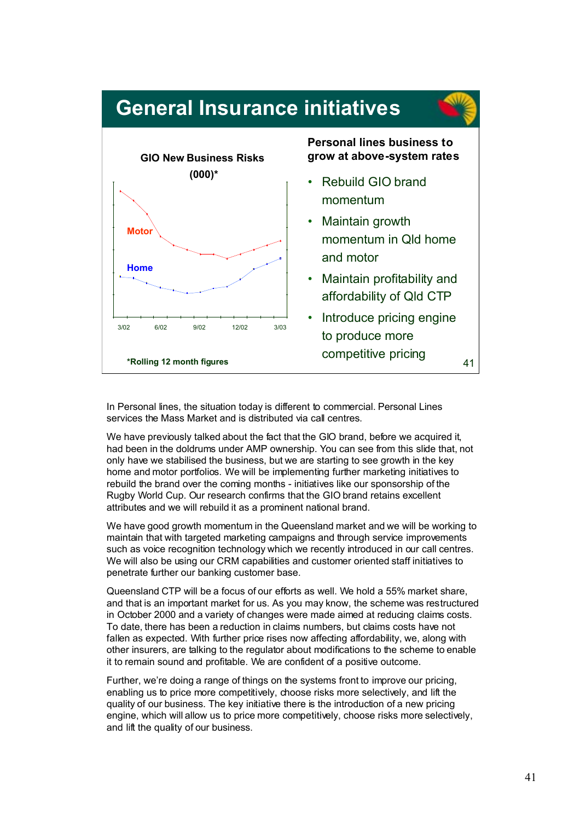

In Personal lines, the situation today is different to commercial. Personal Lines services the Mass Market and is distributed via call centres.

We have previously talked about the fact that the GIO brand, before we acquired it, had been in the doldrums under AMP ownership. You can see from this slide that, not only have we stabilised the business, but we are starting to see growth in the key home and motor portfolios. We will be implementing further marketing initiatives to rebuild the brand over the coming months - initiatives like our sponsorship of the Rugby World Cup. Our research confirms that the GIO brand retains excellent attributes and we will rebuild it as a prominent national brand.

We have good growth momentum in the Queensland market and we will be working to maintain that with targeted marketing campaigns and through service improvements such as voice recognition technology which we recently introduced in our call centres. We will also be using our CRM capabilities and customer oriented staff initiatives to penetrate further our banking customer base.

Queensland CTP will be a focus of our efforts as well. We hold a 55% market share, and that is an important market for us. As you may know, the scheme was restructured in October 2000 and a variety of changes were made aimed at reducing claims costs. To date, there has been a reduction in claims numbers, but claims costs have not fallen as expected. With further price rises now affecting affordability, we, along with other insurers, are talking to the regulator about modifications to the scheme to enable it to remain sound and profitable. We are confident of a positive outcome.

Further, we're doing a range of things on the systems front to improve our pricing, enabling us to price more competitively, choose risks more selectively, and lift the quality of our business. The key initiative there is the introduction of a new pricing engine, which will allow us to price more competitively, choose risks more selectively, and lift the quality of our business.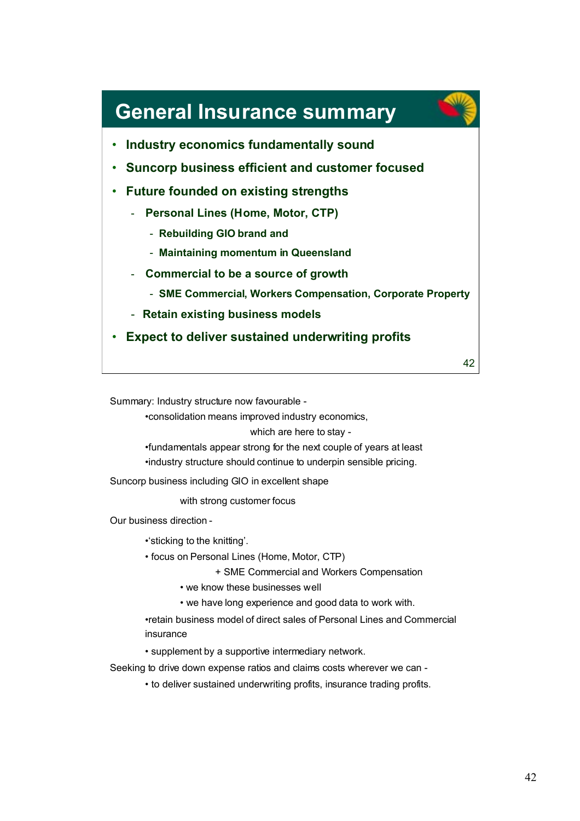### **General Insurance summary**



- **Suncorp business efficient and customer focused**
- **Future founded on existing strengths**
	- **Personal Lines (Home, Motor, CTP)**
		- **Rebuilding GIO brand and**
		- **Maintaining momentum in Queensland**
	- **Commercial to be a source of growth**
		- **SME Commercial, Workers Compensation, Corporate Property**
	- **Retain existing business models**
- **Expect to deliver sustained underwriting profits**

42

Summary: Industry structure now favourable -

•consolidation means improved industry economics,

which are here to stay -

•fundamentals appear strong for the next couple of years at least •industry structure should continue to underpin sensible pricing.

Suncorp business including GIO in excellent shape

with strong customer focus

Our business direction -

•'sticking to the knitting'.

• focus on Personal Lines (Home, Motor, CTP)

+ SME Commercial and Workers Compensation

• we know these businesses well

• we have long experience and good data to work with.

•retain business model of direct sales of Personal Lines and Commercial insurance

• supplement by a supportive intermediary network.

Seeking to drive down expense ratios and claims costs wherever we can -

• to deliver sustained underwriting profits, insurance trading profits.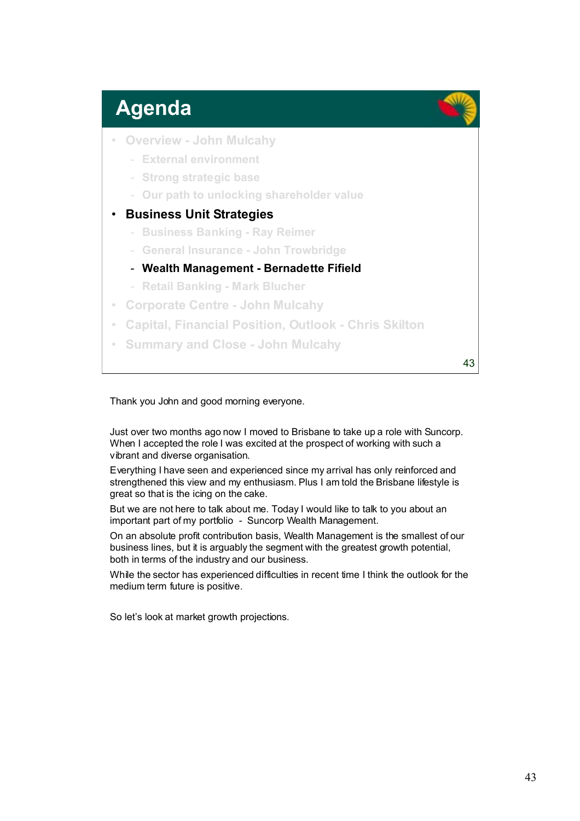## **Agenda**

- **Overview John Mulcahy**
	- **External environment**
	- **Strong strategic base**
	- **Our path to unlocking shareholder value**
- **Business Unit Strategies**
	- **Business Banking Ray Reimer**
	- **General Insurance John Trowbridge**
	- **Wealth Management Bernadette Fifield**
	- **Retail Banking Mark Blucher**
- **Corporate Centre John Mulcahy**
- **Capital, Financial Position, Outlook Chris Skilton**
- **Summary and Close John Mulcahy**

43

#### Thank you John and good morning everyone.

Just over two months ago now I moved to Brisbane to take up a role with Suncorp. When I accepted the role I was excited at the prospect of working with such a vibrant and diverse organisation.

Everything I have seen and experienced since my arrival has only reinforced and strengthened this view and my enthusiasm. Plus I am told the Brisbane lifestyle is great so that is the icing on the cake.

But we are not here to talk about me. Today I would like to talk to you about an important part of my portfolio - Suncorp Wealth Management.

On an absolute profit contribution basis, Wealth Management is the smallest of our business lines, but it is arguably the segment with the greatest growth potential, both in terms of the industry and our business.

While the sector has experienced difficulties in recent time I think the outlook for the medium term future is positive.

So let's look at market growth projections.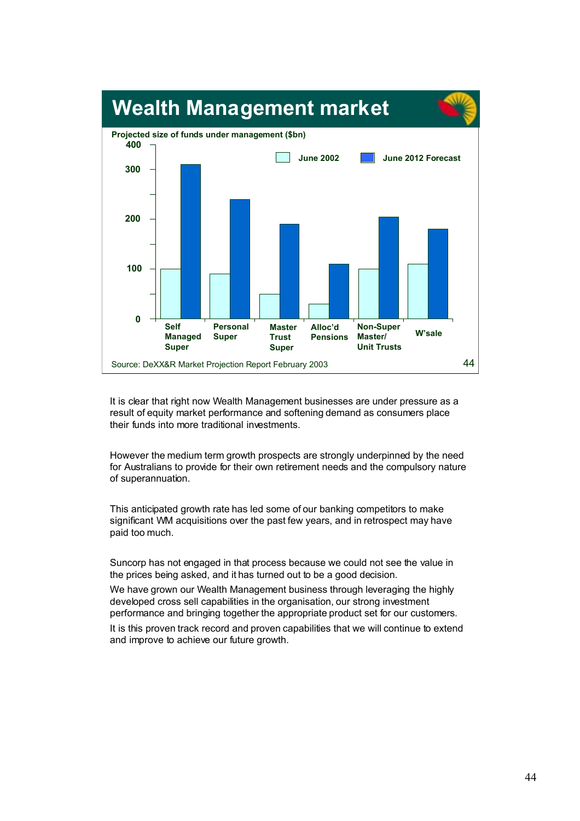

It is clear that right now Wealth Management businesses are under pressure as a result of equity market performance and softening demand as consumers place their funds into more traditional investments.

However the medium term growth prospects are strongly underpinned by the need for Australians to provide for their own retirement needs and the compulsory nature of superannuation.

This anticipated growth rate has led some of our banking competitors to make significant WM acquisitions over the past few years, and in retrospect may have paid too much.

Suncorp has not engaged in that process because we could not see the value in the prices being asked, and it has turned out to be a good decision.

We have grown our Wealth Management business through leveraging the highly developed cross sell capabilities in the organisation, our strong investment performance and bringing together the appropriate product set for our customers. It is this proven track record and proven capabilities that we will continue to extend and improve to achieve our future growth.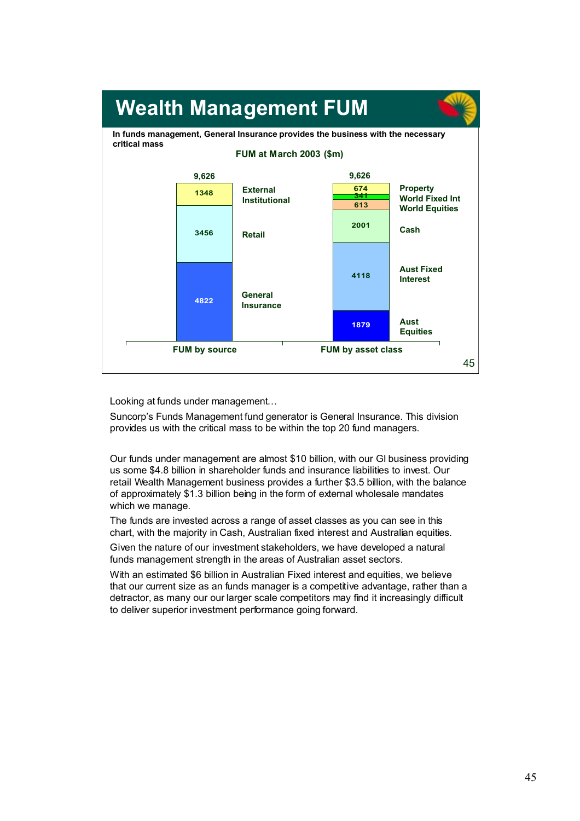

Looking at funds under management…

Suncorp's Funds Management fund generator is General Insurance. This division provides us with the critical mass to be within the top 20 fund managers.

Our funds under management are almost \$10 billion, with our GI business providing us some \$4.8 billion in shareholder funds and insurance liabilities to invest. Our retail Wealth Management business provides a further \$3.5 billion, with the balance of approximately \$1.3 billion being in the form of external wholesale mandates which we manage.

The funds are invested across a range of asset classes as you can see in this chart, with the majority in Cash, Australian fixed interest and Australian equities.

Given the nature of our investment stakeholders, we have developed a natural funds management strength in the areas of Australian asset sectors.

With an estimated \$6 billion in Australian Fixed interest and equities, we believe that our current size as an funds manager is a competitive advantage, rather than a detractor, as many our our larger scale competitors may find it increasingly difficult to deliver superior investment performance going forward.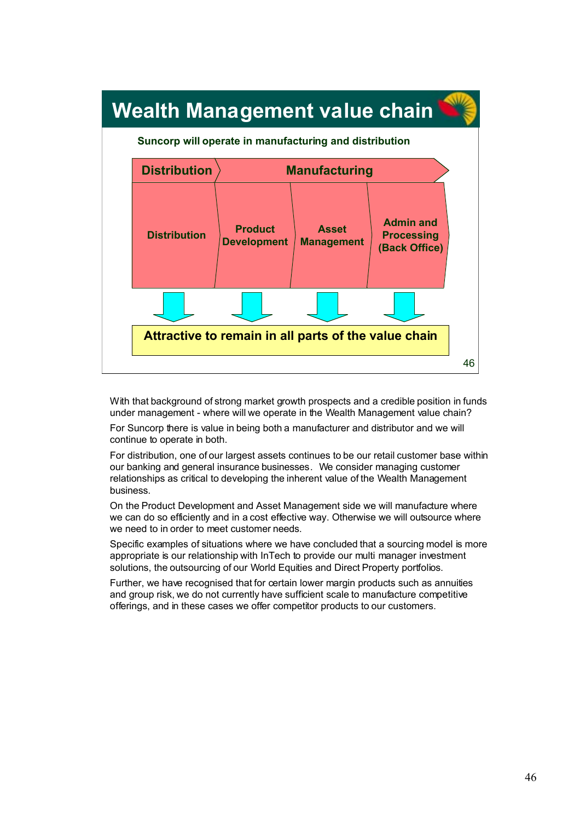

With that background of strong market growth prospects and a credible position in funds under management - where will we operate in the Wealth Management value chain? For Suncorp there is value in being both a manufacturer and distributor and we will continue to operate in both.

For distribution, one of our largest assets continues to be our retail customer base within our banking and general insurance businesses. We consider managing customer relationships as critical to developing the inherent value of the Wealth Management business.

On the Product Development and Asset Management side we will manufacture where we can do so efficiently and in a cost effective way. Otherwise we will outsource where we need to in order to meet customer needs.

Specific examples of situations where we have concluded that a sourcing model is more appropriate is our relationship with InTech to provide our multi manager investment solutions, the outsourcing of our World Equities and Direct Property portfolios.

Further, we have recognised that for certain lower margin products such as annuities and group risk, we do not currently have sufficient scale to manufacture competitive offerings, and in these cases we offer competitor products to our customers.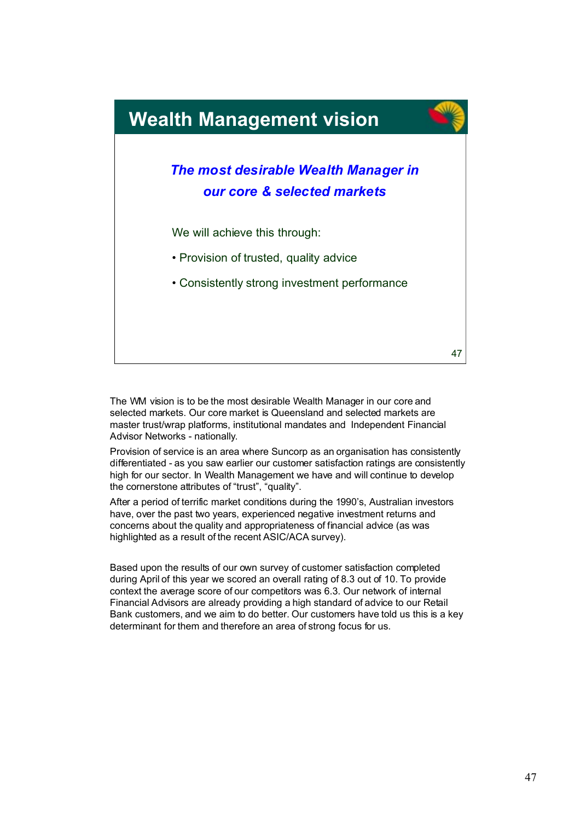

The WM vision is to be the most desirable Wealth Manager in our core and selected markets. Our core market is Queensland and selected markets are master trust/wrap platforms, institutional mandates and Independent Financial Advisor Networks - nationally.

Provision of service is an area where Suncorp as an organisation has consistently differentiated - as you saw earlier our customer satisfaction ratings are consistently high for our sector. In Wealth Management we have and will continue to develop the cornerstone attributes of "trust", "quality".

After a period of terrific market conditions during the 1990's, Australian investors have, over the past two years, experienced negative investment returns and concerns about the quality and appropriateness of financial advice (as was highlighted as a result of the recent ASIC/ACA survey).

Based upon the results of our own survey of customer satisfaction completed during April of this year we scored an overall rating of 8.3 out of 10. To provide context the average score of our competitors was 6.3. Our network of internal Financial Advisors are already providing a high standard of advice to our Retail Bank customers, and we aim to do better. Our customers have told us this is a key determinant for them and therefore an area of strong focus for us.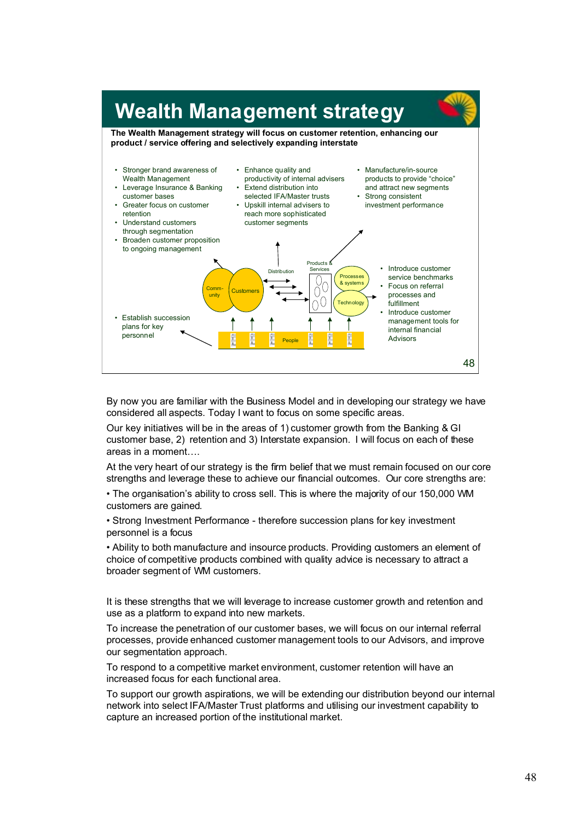

By now you are familiar with the Business Model and in developing our strategy we have considered all aspects. Today I want to focus on some specific areas.

Our key initiatives will be in the areas of 1) customer growth from the Banking & GI customer base, 2) retention and 3) Interstate expansion. I will focus on each of these areas in a moment….

At the very heart of our strategy is the firm belief that we must remain focused on our core strengths and leverage these to achieve our financial outcomes. Our core strengths are:

• The organisation's ability to cross sell. This is where the majority of our 150,000 WM customers are gained.

• Strong Investment Performance - therefore succession plans for key investment personnel is a focus

• Ability to both manufacture and insource products. Providing customers an element of choice of competitive products combined with quality advice is necessary to attract a broader segment of WM customers.

It is these strengths that we will leverage to increase customer growth and retention and use as a platform to expand into new markets.

To increase the penetration of our customer bases, we will focus on our internal referral processes, provide enhanced customer management tools to our Advisors, and improve our segmentation approach.

To respond to a competitive market environment, customer retention will have an increased focus for each functional area.

To support our growth aspirations, we will be extending our distribution beyond our internal network into select IFA/Master Trust platforms and utilising our investment capability to capture an increased portion of the institutional market.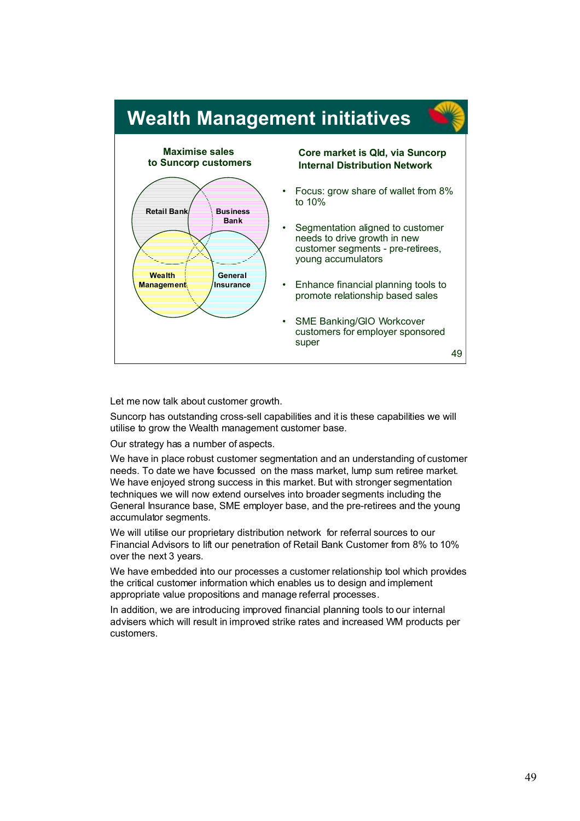

Let me now talk about customer growth.

Suncorp has outstanding cross-sell capabilities and it is these capabilities we will utilise to grow the Wealth management customer base.

Our strategy has a number of aspects.

We have in place robust customer segmentation and an understanding of customer needs. To date we have focussed on the mass market, lump sum retiree market. We have enjoyed strong success in this market. But with stronger segmentation techniques we will now extend ourselves into broader segments including the General Insurance base, SME employer base, and the pre-retirees and the young accumulator segments.

We will utilise our proprietary distribution network for referral sources to our Financial Advisors to lift our penetration of Retail Bank Customer from 8% to 10% over the next 3 years.

We have embedded into our processes a customer relationship tool which provides the critical customer information which enables us to design and implement appropriate value propositions and manage referral processes.

In addition, we are introducing improved financial planning tools to our internal advisers which will result in improved strike rates and increased WM products per customers.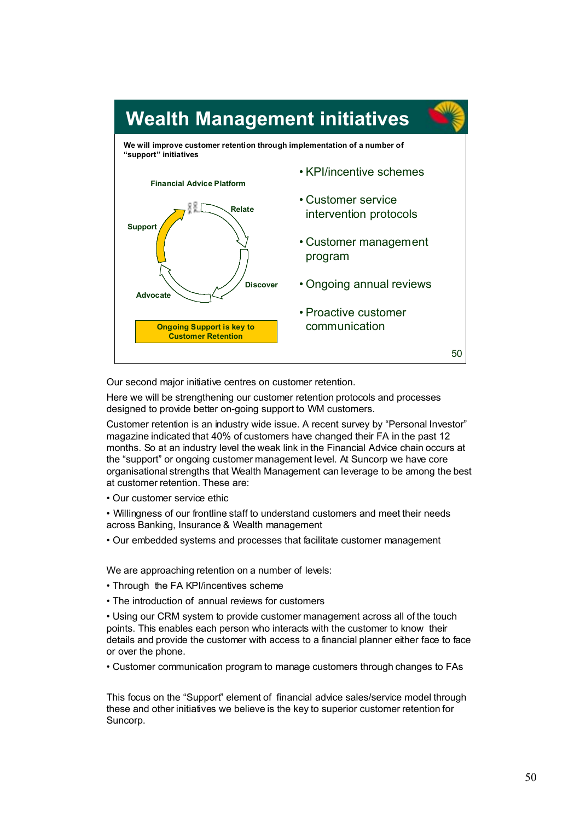

Our second major initiative centres on customer retention.

Here we will be strengthening our customer retention protocols and processes designed to provide better on-going support to WM customers.

Customer retention is an industry wide issue. A recent survey by "Personal Investor" magazine indicated that 40% of customers have changed their FA in the past 12 months. So at an industry level the weak link in the Financial Advice chain occurs at the "support" or ongoing customer management level. At Suncorp we have core organisational strengths that Wealth Management can leverage to be among the best at customer retention. These are:

• Our customer service ethic

• Willingness of our frontline staff to understand customers and meet their needs across Banking, Insurance & Wealth management

• Our embedded systems and processes that facilitate customer management

We are approaching retention on a number of levels:

- Through the FA KPI/incentives scheme
- The introduction of annual reviews for customers

• Using our CRM system to provide customer management across all of the touch points. This enables each person who interacts with the customer to know their details and provide the customer with access to a financial planner either face to face or over the phone.

• Customer communication program to manage customers through changes to FAs

This focus on the "Support" element of financial advice sales/service model through these and other initiatives we believe is the key to superior customer retention for Suncorp.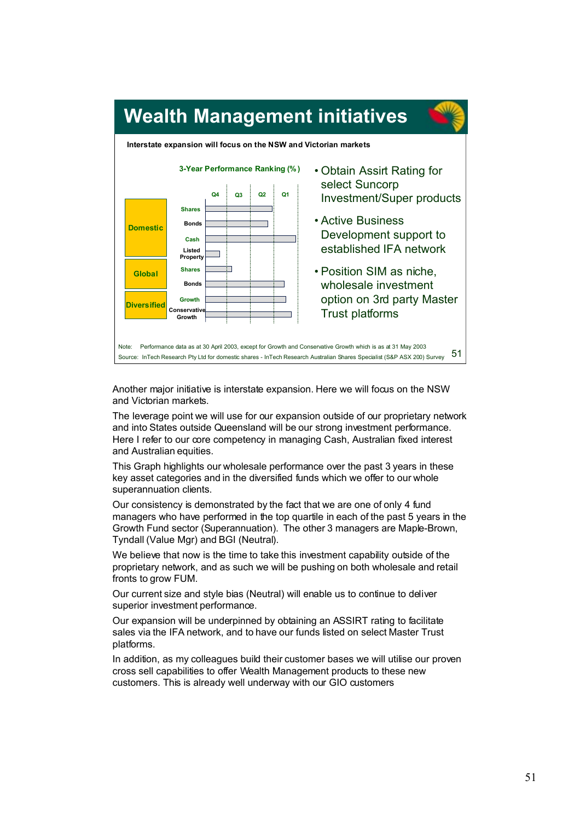

Another major initiative is interstate expansion. Here we will focus on the NSW and Victorian markets.

The leverage point we will use for our expansion outside of our proprietary network and into States outside Queensland will be our strong investment performance. Here I refer to our core competency in managing Cash, Australian fixed interest and Australian equities.

This Graph highlights our wholesale performance over the past 3 years in these key asset categories and in the diversified funds which we offer to our whole superannuation clients.

Our consistency is demonstrated by the fact that we are one of only 4 fund managers who have performed in the top quartile in each of the past 5 years in the Growth Fund sector (Superannuation). The other 3 managers are Maple-Brown, Tyndall (Value Mgr) and BGI (Neutral).

We believe that now is the time to take this investment capability outside of the proprietary network, and as such we will be pushing on both wholesale and retail fronts to grow FUM.

Our current size and style bias (Neutral) will enable us to continue to deliver superior investment performance.

Our expansion will be underpinned by obtaining an ASSIRT rating to facilitate sales via the IFA network, and to have our funds listed on select Master Trust platforms.

In addition, as my colleagues build their customer bases we will utilise our proven cross sell capabilities to offer Wealth Management products to these new customers. This is already well underway with our GIO customers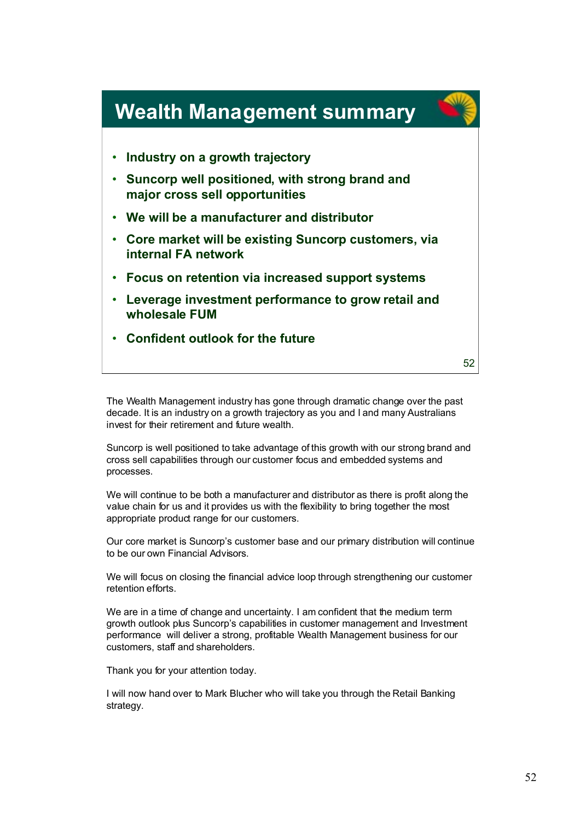

The Wealth Management industry has gone through dramatic change over the past decade. It is an industry on a growth trajectory as you and I and many Australians invest for their retirement and future wealth.

Suncorp is well positioned to take advantage of this growth with our strong brand and cross sell capabilities through our customer focus and embedded systems and processes.

We will continue to be both a manufacturer and distributor as there is profit along the value chain for us and it provides us with the flexibility to bring together the most appropriate product range for our customers.

Our core market is Suncorp's customer base and our primary distribution will continue to be our own Financial Advisors.

We will focus on closing the financial advice loop through strengthening our customer retention efforts.

We are in a time of change and uncertainty. I am confident that the medium term growth outlook plus Suncorp's capabilities in customer management and Investment performance will deliver a strong, profitable Wealth Management business for our customers, staff and shareholders.

Thank you for your attention today.

I will now hand over to Mark Blucher who will take you through the Retail Banking strategy.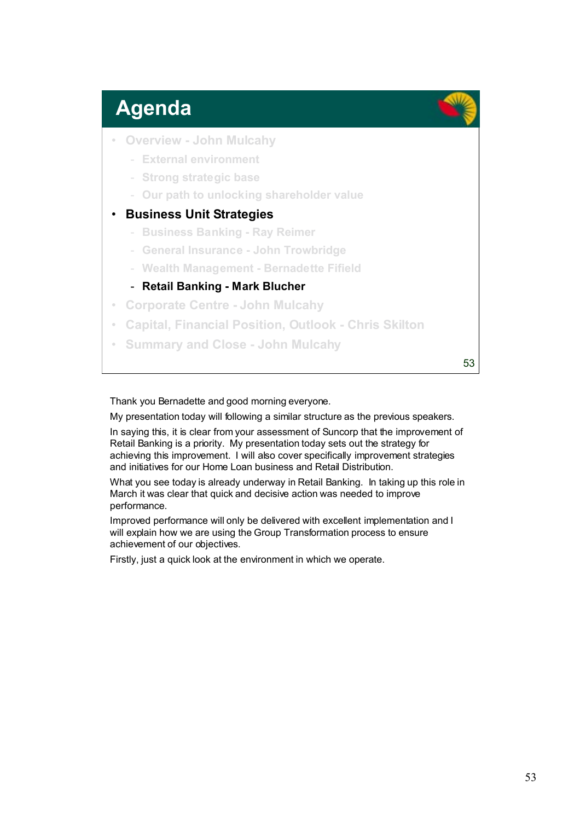# **Agenda**

- **Overview John Mulcahy**
	- **External environment**
	- **Strong strategic base**
	- **Our path to unlocking shareholder value**

### • **Business Unit Strategies**

- **Business Banking Ray Reimer**
- **General Insurance John Trowbridge**
- **Wealth Management Bernadette Fifield**
- **Retail Banking Mark Blucher**
- **Corporate Centre John Mulcahy**
- **Capital, Financial Position, Outlook Chris Skilton**
- **Summary and Close John Mulcahy**

53

#### Thank you Bernadette and good morning everyone.

My presentation today will following a similar structure as the previous speakers.

In saying this, it is clear from your assessment of Suncorp that the improvement of Retail Banking is a priority. My presentation today sets out the strategy for achieving this improvement. I will also cover specifically improvement strategies and initiatives for our Home Loan business and Retail Distribution.

What you see today is already underway in Retail Banking. In taking up this role in March it was clear that quick and decisive action was needed to improve performance.

Improved performance will only be delivered with excellent implementation and I will explain how we are using the Group Transformation process to ensure achievement of our objectives.

Firstly, just a quick look at the environment in which we operate.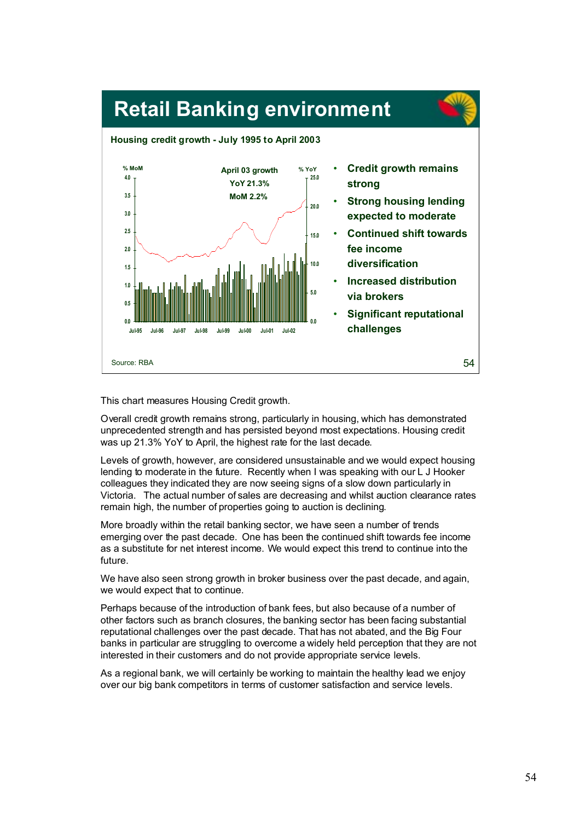

This chart measures Housing Credit growth.

Overall credit growth remains strong, particularly in housing, which has demonstrated unprecedented strength and has persisted beyond most expectations. Housing credit was up 21.3% YoY to April, the highest rate for the last decade.

Levels of growth, however, are considered unsustainable and we would expect housing lending to moderate in the future. Recently when I was speaking with our L J Hooker colleagues they indicated they are now seeing signs of a slow down particularly in Victoria. The actual number of sales are decreasing and whilst auction clearance rates remain high, the number of properties going to auction is declining.

More broadly within the retail banking sector, we have seen a number of trends emerging over the past decade. One has been the continued shift towards fee income as a substitute for net interest income. We would expect this trend to continue into the future.

We have also seen strong growth in broker business over the past decade, and again, we would expect that to continue.

Perhaps because of the introduction of bank fees, but also because of a number of other factors such as branch closures, the banking sector has been facing substantial reputational challenges over the past decade. That has not abated, and the Big Four banks in particular are struggling to overcome a widely held perception that they are not interested in their customers and do not provide appropriate service levels.

As a regional bank, we will certainly be working to maintain the healthy lead we enjoy over our big bank competitors in terms of customer satisfaction and service levels.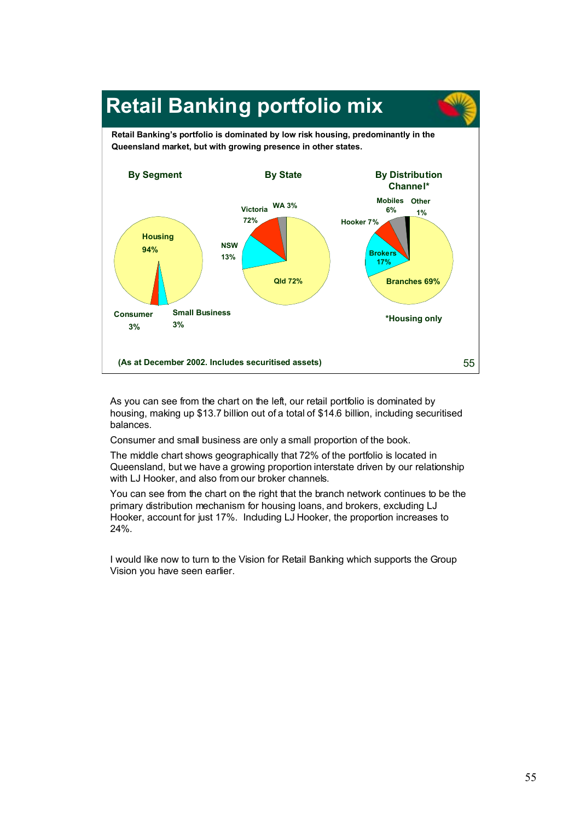

As you can see from the chart on the left, our retail portfolio is dominated by housing, making up \$13.7 billion out of a total of \$14.6 billion, including securitised balances.

Consumer and small business are only a small proportion of the book.

The middle chart shows geographically that 72% of the portfolio is located in Queensland, but we have a growing proportion interstate driven by our relationship with LJ Hooker, and also from our broker channels.

You can see from the chart on the right that the branch network continues to be the primary distribution mechanism for housing loans, and brokers, excluding LJ Hooker, account for just 17%. Including LJ Hooker, the proportion increases to 24%.

I would like now to turn to the Vision for Retail Banking which supports the Group Vision you have seen earlier.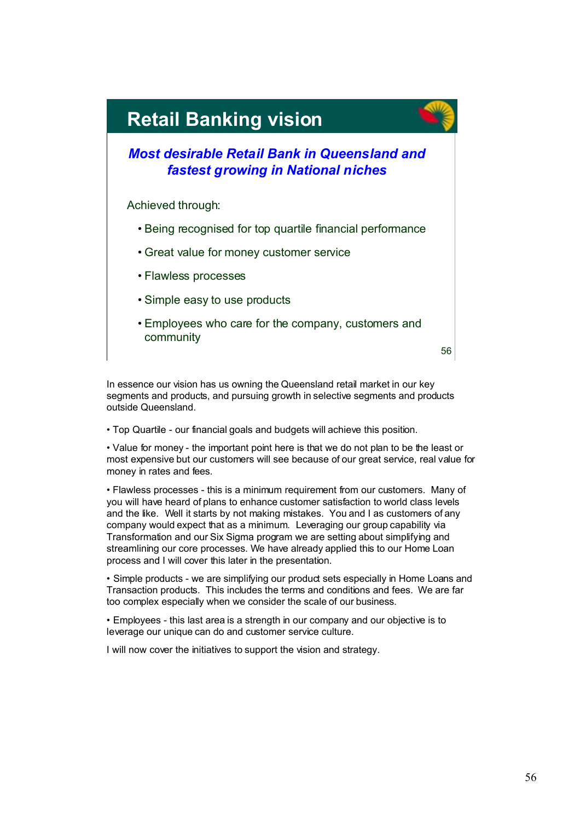

In essence our vision has us owning the Queensland retail market in our key segments and products, and pursuing growth in selective segments and products outside Queensland.

• Top Quartile - our financial goals and budgets will achieve this position.

• Value for money - the important point here is that we do not plan to be the least or most expensive but our customers will see because of our great service, real value for money in rates and fees.

• Flawless processes - this is a minimum requirement from our customers. Many of you will have heard of plans to enhance customer satisfaction to world class levels and the like. Well it starts by not making mistakes. You and I as customers of any company would expect that as a minimum. Leveraging our group capability via Transformation and our Six Sigma program we are setting about simplifying and streamlining our core processes. We have already applied this to our Home Loan process and I will cover this later in the presentation.

• Simple products - we are simplifying our product sets especially in Home Loans and Transaction products. This includes the terms and conditions and fees. We are far too complex especially when we consider the scale of our business.

• Employees - this last area is a strength in our company and our objective is to leverage our unique can do and customer service culture.

I will now cover the initiatives to support the vision and strategy.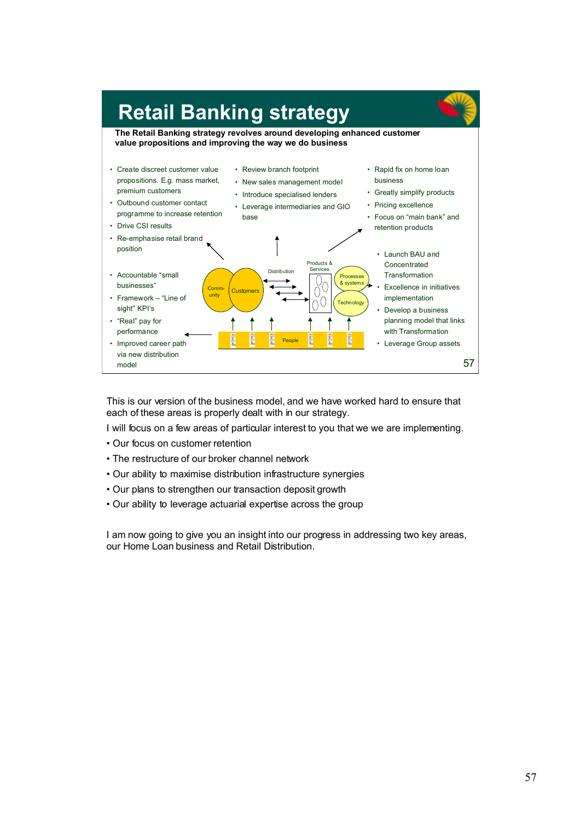

This is our version of the business model, and we have worked hard to ensure that each of these areas is properly dealt with in our strategy.

I will focus on a few areas of particular interest to you that we we are implementing.

- Our focus on customer retention
- The restructure of our broker channel network
- Our ability to maximise distribution infrastructure synergies
- Our plans to strengthen our transaction deposit growth
- Our ability to leverage actuarial expertise across the group

I am now going to give you an insight into our progress in addressing two key areas, our Home Loan business and Retail Distribution.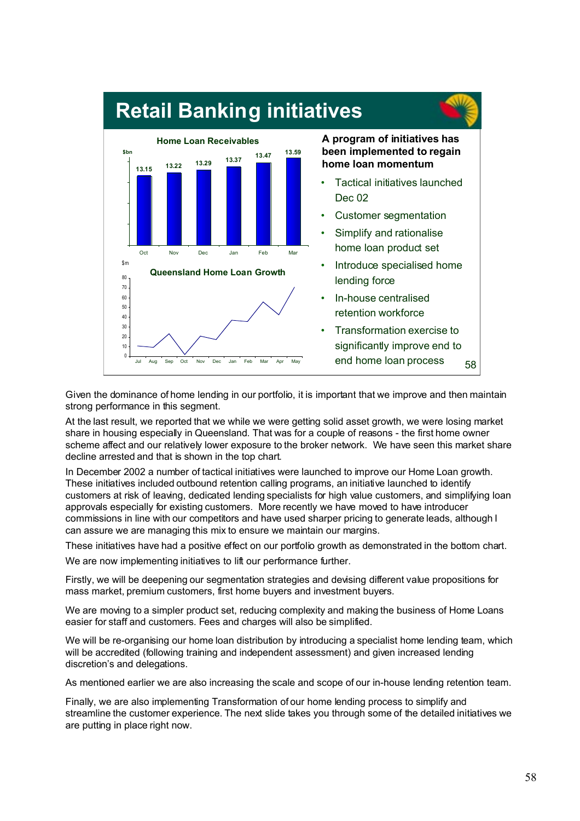

Given the dominance of home lending in our portfolio, it is important that we improve and then maintain strong performance in this segment.

At the last result, we reported that we while we were getting solid asset growth, we were losing market share in housing especially in Queensland. That was for a couple of reasons - the first home owner scheme affect and our relatively lower exposure to the broker network. We have seen this market share decline arrested and that is shown in the top chart.

In December 2002 a number of tactical initiatives were launched to improve our Home Loan growth. These initiatives included outbound retention calling programs, an initiative launched to identify customers at risk of leaving, dedicated lending specialists for high value customers, and simplifying loan approvals especially for existing customers. More recently we have moved to have introducer commissions in line with our competitors and have used sharper pricing to generate leads, although I can assure we are managing this mix to ensure we maintain our margins.

These initiatives have had a positive effect on our portfolio growth as demonstrated in the bottom chart. We are now implementing initiatives to lift our performance further.

Firstly, we will be deepening our segmentation strategies and devising different value propositions for mass market, premium customers, first home buyers and investment buyers.

We are moving to a simpler product set, reducing complexity and making the business of Home Loans easier for staff and customers. Fees and charges will also be simplified.

We will be re-organising our home loan distribution by introducing a specialist home lending team, which will be accredited (following training and independent assessment) and given increased lending discretion's and delegations.

As mentioned earlier we are also increasing the scale and scope of our in-house lending retention team.

Finally, we are also implementing Transformation of our home lending process to simplify and streamline the customer experience. The next slide takes you through some of the detailed initiatives we are putting in place right now.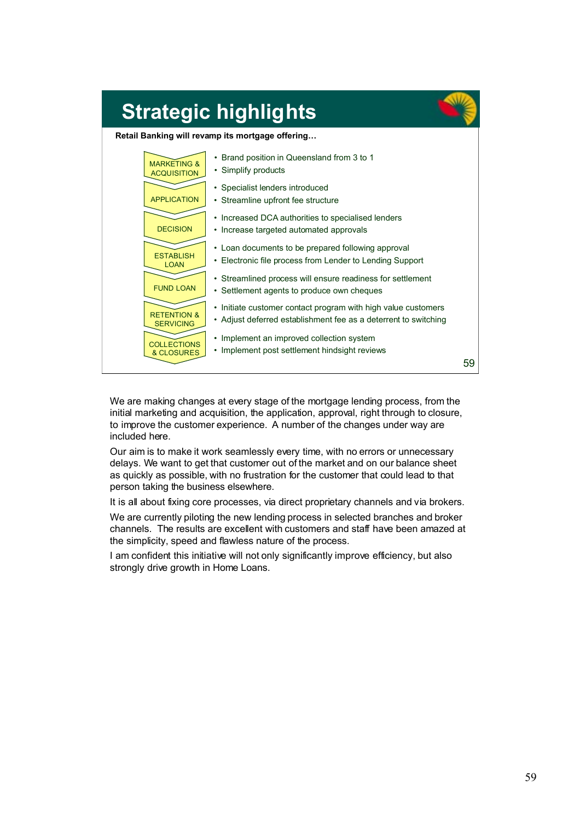

We are making changes at every stage of the mortgage lending process, from the initial marketing and acquisition, the application, approval, right through to closure, to improve the customer experience. A number of the changes under way are included here.

Our aim is to make it work seamlessly every time, with no errors or unnecessary delays. We want to get that customer out of the market and on our balance sheet as quickly as possible, with no frustration for the customer that could lead to that person taking the business elsewhere.

It is all about fixing core processes, via direct proprietary channels and via brokers.

We are currently piloting the new lending process in selected branches and broker channels. The results are excellent with customers and staff have been amazed at the simplicity, speed and flawless nature of the process.

I am confident this initiative will not only significantly improve efficiency, but also strongly drive growth in Home Loans.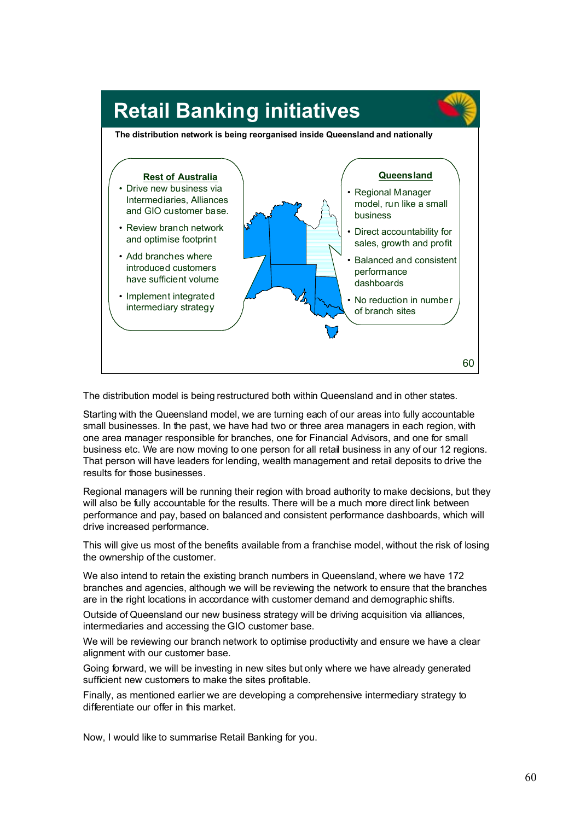

The distribution model is being restructured both within Queensland and in other states.

Starting with the Queensland model, we are turning each of our areas into fully accountable small businesses. In the past, we have had two or three area managers in each region, with one area manager responsible for branches, one for Financial Advisors, and one for small business etc. We are now moving to one person for all retail business in any of our 12 regions. That person will have leaders for lending, wealth management and retail deposits to drive the results for those businesses.

Regional managers will be running their region with broad authority to make decisions, but they will also be fully accountable for the results. There will be a much more direct link between performance and pay, based on balanced and consistent performance dashboards, which will drive increased performance.

This will give us most of the benefits available from a franchise model, without the risk of losing the ownership of the customer.

We also intend to retain the existing branch numbers in Queensland, where we have 172 branches and agencies, although we will be reviewing the network to ensure that the branches are in the right locations in accordance with customer demand and demographic shifts.

Outside of Queensland our new business strategy will be driving acquisition via alliances, intermediaries and accessing the GIO customer base.

We will be reviewing our branch network to optimise productivity and ensure we have a clear alignment with our customer base.

Going forward, we will be investing in new sites but only where we have already generated sufficient new customers to make the sites profitable.

Finally, as mentioned earlier we are developing a comprehensive intermediary strategy to differentiate our offer in this market.

Now, I would like to summarise Retail Banking for you.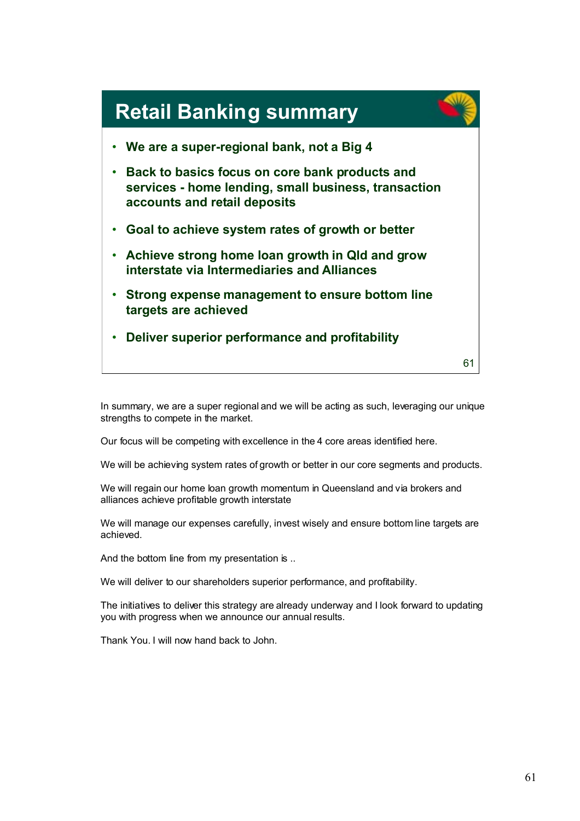

In summary, we are a super regional and we will be acting as such, leveraging our unique strengths to compete in the market.

Our focus will be competing with excellence in the 4 core areas identified here.

We will be achieving system rates of growth or better in our core segments and products.

We will regain our home loan growth momentum in Queensland and via brokers and alliances achieve profitable growth interstate

We will manage our expenses carefully, invest wisely and ensure bottom line targets are achieved.

And the bottom line from my presentation is ..

We will deliver to our shareholders superior performance, and profitability.

The initiatives to deliver this strategy are already underway and I look forward to updating you with progress when we announce our annual results.

Thank You. I will now hand back to John.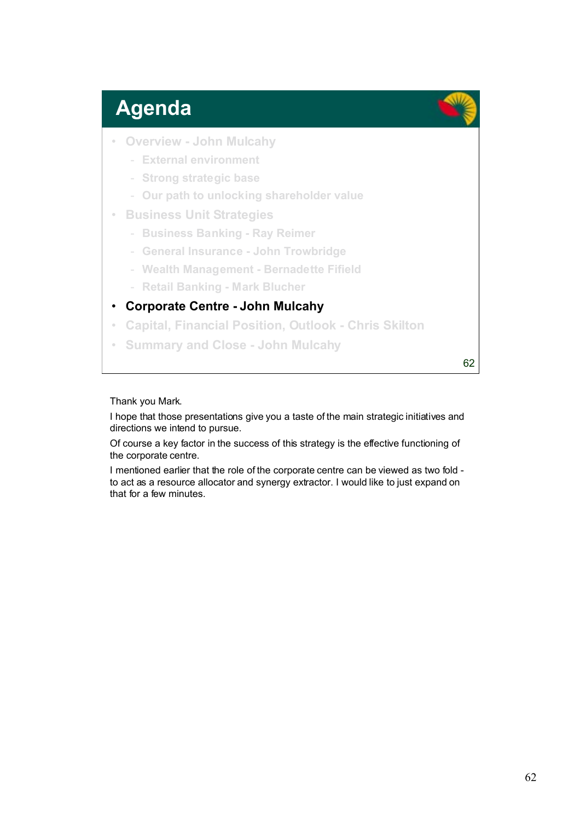## **Agenda**

- **Overview John Mulcahy**
	- **External environment**
	- **Strong strategic base**
	- **Our path to unlocking shareholder value**
- **Business Unit Strategies**
	- **Business Banking Ray Reimer**
	- **General Insurance John Trowbridge**
	- **Wealth Management Bernadette Fifield**
	- **Retail Banking Mark Blucher**

### • **Corporate Centre - John Mulcahy**

- **Capital, Financial Position, Outlook Chris Skilton**
- **Summary and Close John Mulcahy**

62

### Thank you Mark.

I hope that those presentations give you a taste of the main strategic initiatives and directions we intend to pursue.

Of course a key factor in the success of this strategy is the effective functioning of the corporate centre.

I mentioned earlier that the role of the corporate centre can be viewed as two fold to act as a resource allocator and synergy extractor. I would like to just expand on that for a few minutes.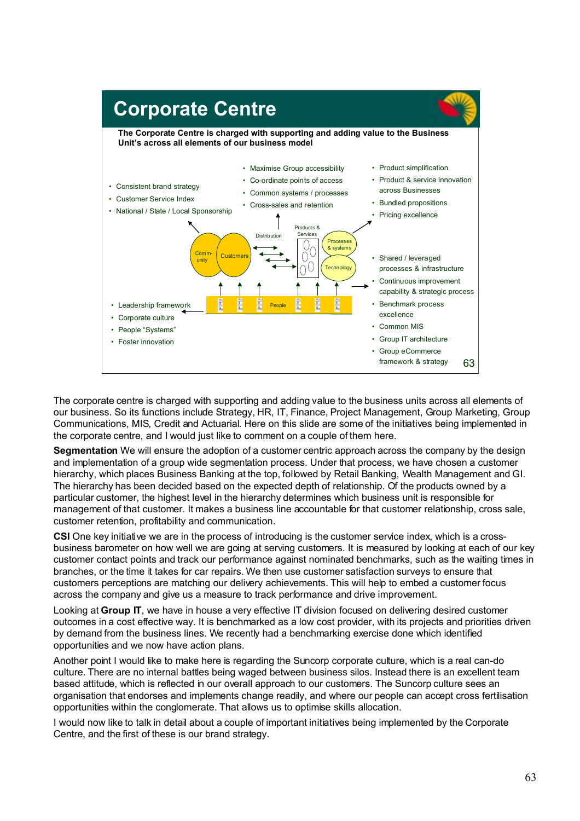

The corporate centre is charged with supporting and adding value to the business units across all elements of our business. So its functions include Strategy, HR, IT, Finance, Project Management, Group Marketing, Group Communications, MIS, Credit and Actuarial. Here on this slide are some of the initiatives being implemented in the corporate centre, and I would just like to comment on a couple of them here.

**Segmentation** We will ensure the adoption of a customer centric approach across the company by the design and implementation of a group wide segmentation process. Under that process, we have chosen a customer hierarchy, which places Business Banking at the top, followed by Retail Banking, Wealth Management and GI. The hierarchy has been decided based on the expected depth of relationship. Of the products owned by a particular customer, the highest level in the hierarchy determines which business unit is responsible for management of that customer. It makes a business line accountable for that customer relationship, cross sale, customer retention, profitability and communication.

**CSI** One key initiative we are in the process of introducing is the customer service index, which is a crossbusiness barometer on how well we are going at serving customers. It is measured by looking at each of our key customer contact points and track our performance against nominated benchmarks, such as the waiting times in branches, or the time it takes for car repairs. We then use customer satisfaction surveys to ensure that customers perceptions are matching our delivery achievements. This will help to embed a customer focus across the company and give us a measure to track performance and drive improvement.

Looking at **Group IT**, we have in house a very effective IT division focused on delivering desired customer outcomes in a cost effective way. It is benchmarked as a low cost provider, with its projects and priorities driven by demand from the business lines. We recently had a benchmarking exercise done which identified opportunities and we now have action plans.

Another point I would like to make here is regarding the Suncorp corporate culture, which is a real can-do culture. There are no internal battles being waged between business silos. Instead there is an excellent team based attitude, which is reflected in our overall approach to our customers. The Suncorp culture sees an organisation that endorses and implements change readily, and where our people can accept cross fertilisation opportunities within the conglomerate. That allows us to optimise skills allocation.

I would now like to talk in detail about a couple of important initiatives being implemented by the Corporate Centre, and the first of these is our brand strategy.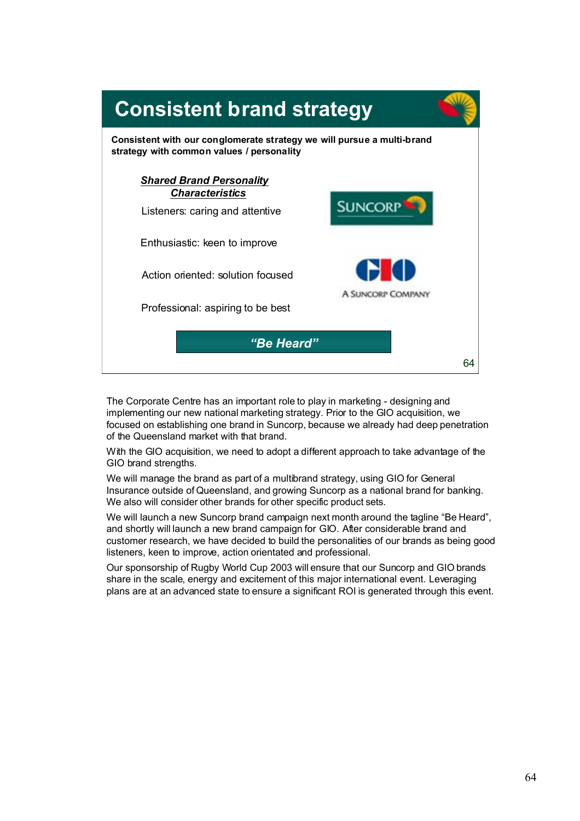

The Corporate Centre has an important role to play in marketing - designing and implementing our new national marketing strategy. Prior to the GIO acquisition, we focused on establishing one brand in Suncorp, because we already had deep penetration of the Queensland market with that brand.

With the GIO acquisition, we need to adopt a different approach to take advantage of the GIO brand strengths.

We will manage the brand as part of a multibrand strategy, using GIO for General Insurance outside of Queensland, and growing Suncorp as a national brand for banking. We also will consider other brands for other specific product sets.

We will launch a new Suncorp brand campaign next month around the tagline "Be Heard", and shortly will launch a new brand campaign for GIO. After considerable brand and customer research, we have decided to build the personalities of our brands as being good listeners, keen to improve, action orientated and professional.

Our sponsorship of Rugby World Cup 2003 will ensure that our Suncorp and GIO brands share in the scale, energy and excitement of this major international event. Leveraging plans are at an advanced state to ensure a significant ROI is generated through this event.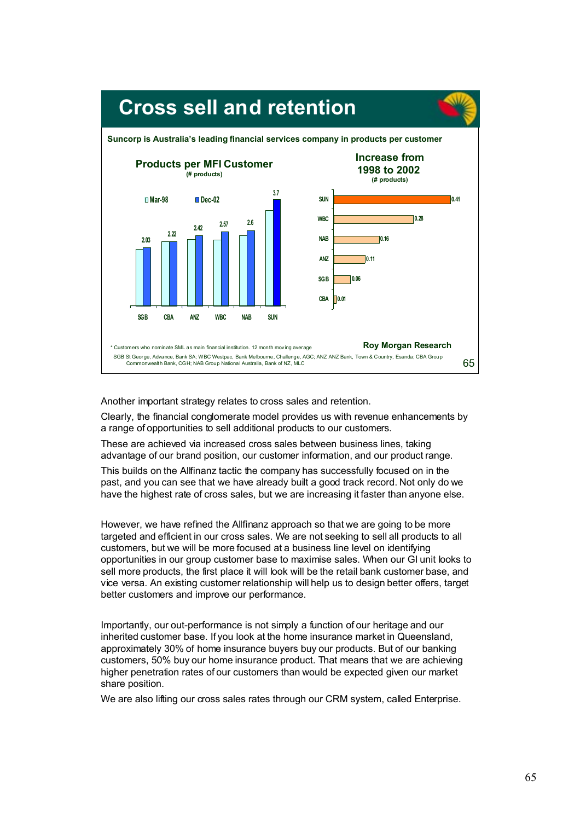

Another important strategy relates to cross sales and retention.

Clearly, the financial conglomerate model provides us with revenue enhancements by a range of opportunities to sell additional products to our customers.

These are achieved via increased cross sales between business lines, taking advantage of our brand position, our customer information, and our product range.

This builds on the Allfinanz tactic the company has successfully focused on in the past, and you can see that we have already built a good track record. Not only do we have the highest rate of cross sales, but we are increasing it faster than anyone else.

However, we have refined the Allfinanz approach so that we are going to be more targeted and efficient in our cross sales. We are not seeking to sell all products to all customers, but we will be more focused at a business line level on identifying opportunities in our group customer base to maximise sales. When our GI unit looks to sell more products, the first place it will look will be the retail bank customer base, and vice versa. An existing customer relationship will help us to design better offers, target better customers and improve our performance.

Importantly, our out-performance is not simply a function of our heritage and our inherited customer base. If you look at the home insurance market in Queensland, approximately 30% of home insurance buyers buy our products. But of our banking customers, 50% buy our home insurance product. That means that we are achieving higher penetration rates of our customers than would be expected given our market share position.

We are also lifting our cross sales rates through our CRM system, called Enterprise.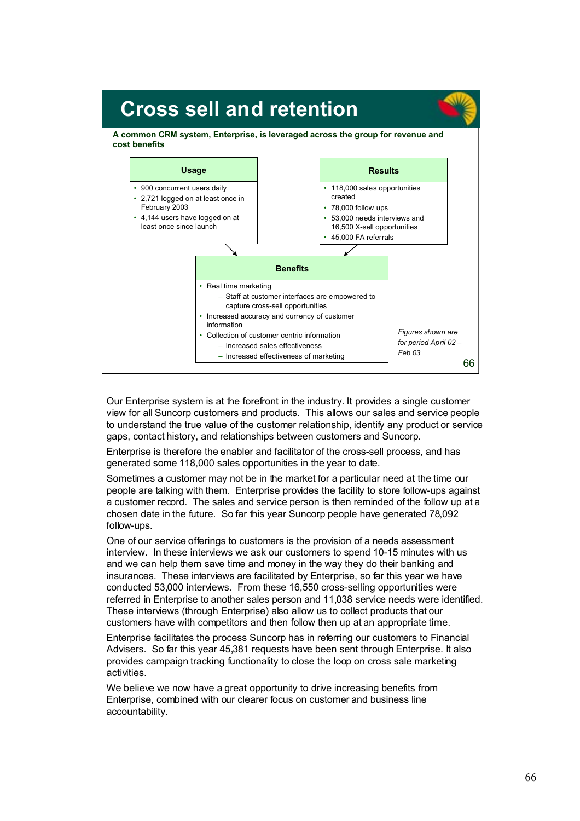

Our Enterprise system is at the forefront in the industry. It provides a single customer view for all Suncorp customers and products. This allows our sales and service people to understand the true value of the customer relationship, identify any product or service gaps, contact history, and relationships between customers and Suncorp.

Enterprise is therefore the enabler and facilitator of the cross-sell process, and has generated some 118,000 sales opportunities in the year to date.

Sometimes a customer may not be in the market for a particular need at the time our people are talking with them. Enterprise provides the facility to store follow-ups against a customer record. The sales and service person is then reminded of the follow up at a chosen date in the future. So far this year Suncorp people have generated 78,092 follow-ups.

One of our service offerings to customers is the provision of a needs assessment interview. In these interviews we ask our customers to spend 10-15 minutes with us and we can help them save time and money in the way they do their banking and insurances. These interviews are facilitated by Enterprise, so far this year we have conducted 53,000 interviews. From these 16,550 cross-selling opportunities were referred in Enterprise to another sales person and 11,038 service needs were identified. These interviews (through Enterprise) also allow us to collect products that our customers have with competitors and then follow then up at an appropriate time.

Enterprise facilitates the process Suncorp has in referring our customers to Financial Advisers. So far this year 45,381 requests have been sent through Enterprise. It also provides campaign tracking functionality to close the loop on cross sale marketing activities.

We believe we now have a great opportunity to drive increasing benefits from Enterprise, combined with our clearer focus on customer and business line accountability.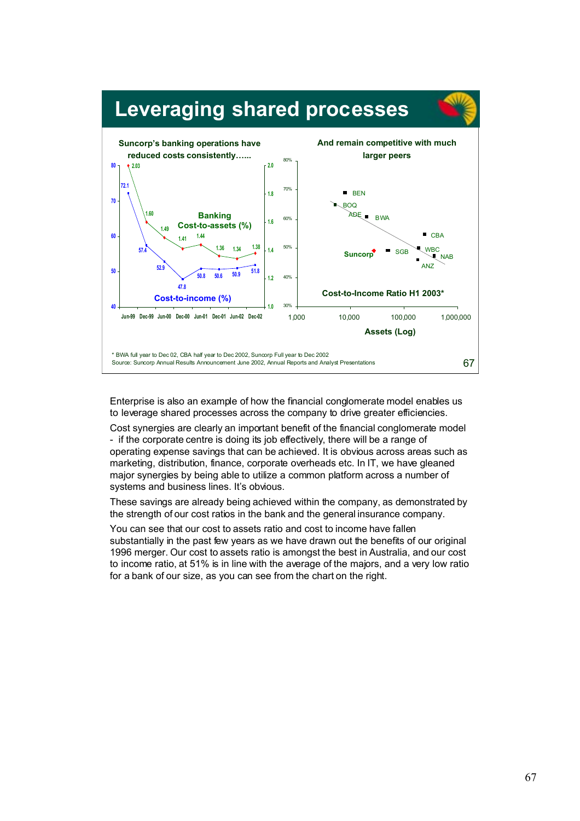

Enterprise is also an example of how the financial conglomerate model enables us to leverage shared processes across the company to drive greater efficiencies.

Cost synergies are clearly an important benefit of the financial conglomerate model - if the corporate centre is doing its job effectively, there will be a range of operating expense savings that can be achieved. It is obvious across areas such as marketing, distribution, finance, corporate overheads etc. In IT, we have gleaned major synergies by being able to utilize a common platform across a number of systems and business lines. It's obvious.

These savings are already being achieved within the company, as demonstrated by the strength of our cost ratios in the bank and the general insurance company.

You can see that our cost to assets ratio and cost to income have fallen substantially in the past few years as we have drawn out the benefits of our original 1996 merger. Our cost to assets ratio is amongst the best in Australia, and our cost to income ratio, at 51% is in line with the average of the majors, and a very low ratio for a bank of our size, as you can see from the chart on the right.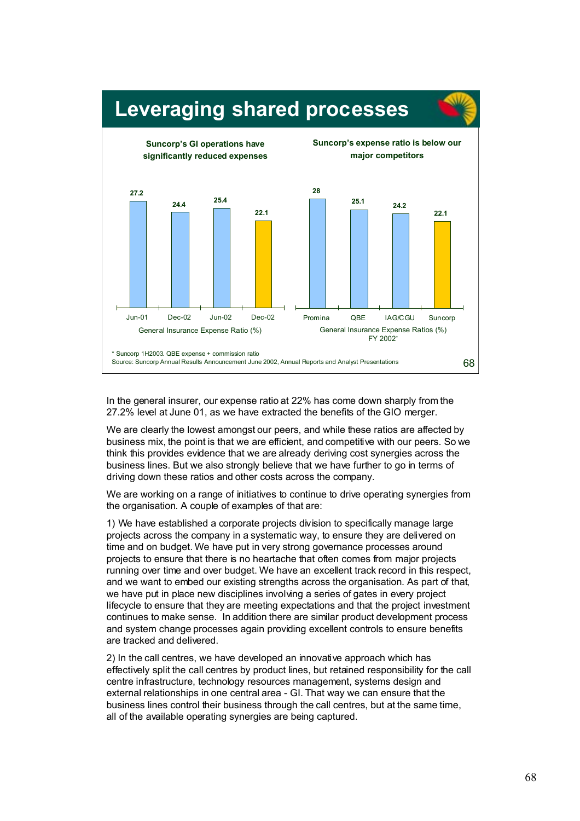

In the general insurer, our expense ratio at 22% has come down sharply from the 27.2% level at June 01, as we have extracted the benefits of the GIO merger.

We are clearly the lowest amongst our peers, and while these ratios are affected by business mix, the point is that we are efficient, and competitive with our peers. So we think this provides evidence that we are already deriving cost synergies across the business lines. But we also strongly believe that we have further to go in terms of driving down these ratios and other costs across the company.

We are working on a range of initiatives to continue to drive operating synergies from the organisation. A couple of examples of that are:

1) We have established a corporate projects division to specifically manage large projects across the company in a systematic way, to ensure they are delivered on time and on budget. We have put in very strong governance processes around projects to ensure that there is no heartache that often comes from major projects running over time and over budget. We have an excellent track record in this respect, and we want to embed our existing strengths across the organisation. As part of that, we have put in place new disciplines involving a series of gates in every project lifecycle to ensure that they are meeting expectations and that the project investment continues to make sense. In addition there are similar product development process and system change processes again providing excellent controls to ensure benefits are tracked and delivered.

2) In the call centres, we have developed an innovative approach which has effectively split the call centres by product lines, but retained responsibility for the call centre infrastructure, technology resources management, systems design and external relationships in one central area - GI. That way we can ensure that the business lines control their business through the call centres, but at the same time, all of the available operating synergies are being captured.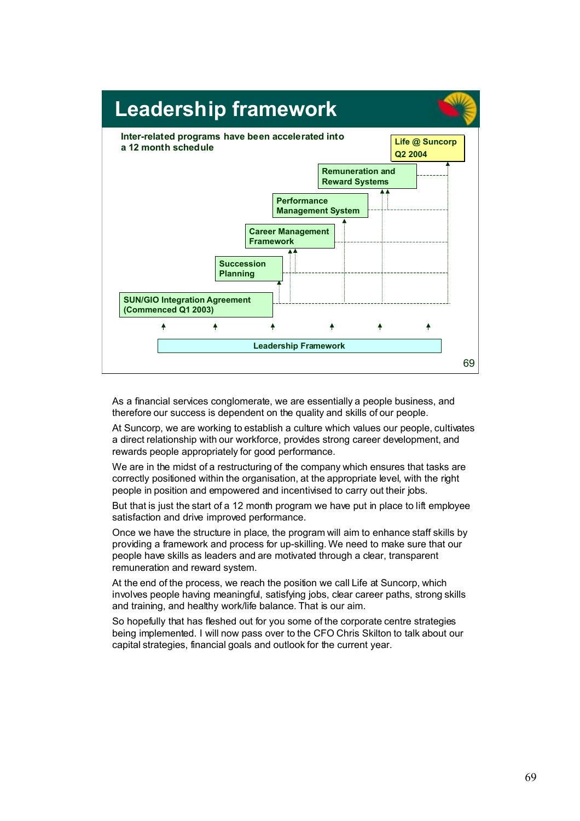

As a financial services conglomerate, we are essentially a people business, and therefore our success is dependent on the quality and skills of our people.

At Suncorp, we are working to establish a culture which values our people, cultivates a direct relationship with our workforce, provides strong career development, and rewards people appropriately for good performance.

We are in the midst of a restructuring of the company which ensures that tasks are correctly positioned within the organisation, at the appropriate level, with the right people in position and empowered and incentivised to carry out their jobs.

But that is just the start of a 12 month program we have put in place to lift employee satisfaction and drive improved performance.

Once we have the structure in place, the program will aim to enhance staff skills by providing a framework and process for up-skilling. We need to make sure that our people have skills as leaders and are motivated through a clear, transparent remuneration and reward system.

At the end of the process, we reach the position we call Life at Suncorp, which involves people having meaningful, satisfying jobs, clear career paths, strong skills and training, and healthy work/life balance. That is our aim.

So hopefully that has fleshed out for you some of the corporate centre strategies being implemented. I will now pass over to the CFO Chris Skilton to talk about our capital strategies, financial goals and outlook for the current year.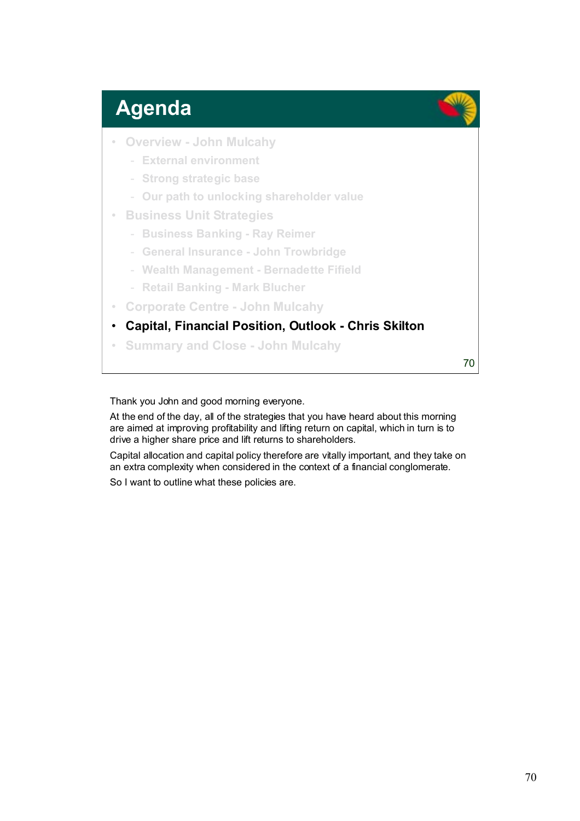## **Agenda**

- **Overview John Mulcahy**
	- **External environment**
	- **Strong strategic base**
	- **Our path to unlocking shareholder value**
- **Business Unit Strategies**
	- **Business Banking Ray Reimer**
	- **General Insurance John Trowbridge**
	- **Wealth Management Bernadette Fifield**
	- **Retail Banking Mark Blucher**
- **Corporate Centre John Mulcahy**
- **Capital, Financial Position, Outlook Chris Skilton**
- **Summary and Close John Mulcahy**

70

Thank you John and good morning everyone.

At the end of the day, all of the strategies that you have heard about this morning are aimed at improving profitability and lifting return on capital, which in turn is to drive a higher share price and lift returns to shareholders.

Capital allocation and capital policy therefore are vitally important, and they take on an extra complexity when considered in the context of a financial conglomerate.

So I want to outline what these policies are.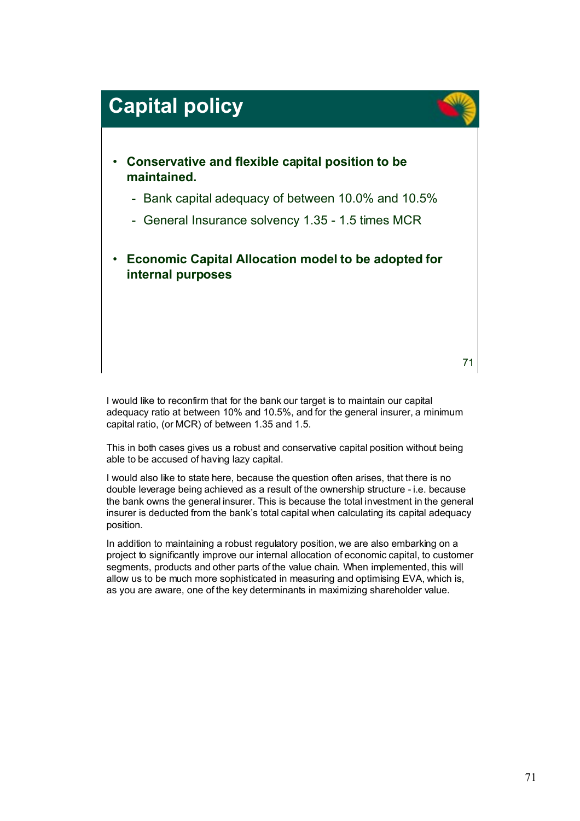

I would like to reconfirm that for the bank our target is to maintain our capital adequacy ratio at between 10% and 10.5%, and for the general insurer, a minimum capital ratio, (or MCR) of between 1.35 and 1.5.

This in both cases gives us a robust and conservative capital position without being able to be accused of having lazy capital.

I would also like to state here, because the question often arises, that there is no double leverage being achieved as a result of the ownership structure - i.e. because the bank owns the general insurer. This is because the total investment in the general insurer is deducted from the bank's total capital when calculating its capital adequacy position.

In addition to maintaining a robust regulatory position, we are also embarking on a project to significantly improve our internal allocation of economic capital, to customer segments, products and other parts of the value chain. When implemented, this will allow us to be much more sophisticated in measuring and optimising EVA, which is, as you are aware, one of the key determinants in maximizing shareholder value.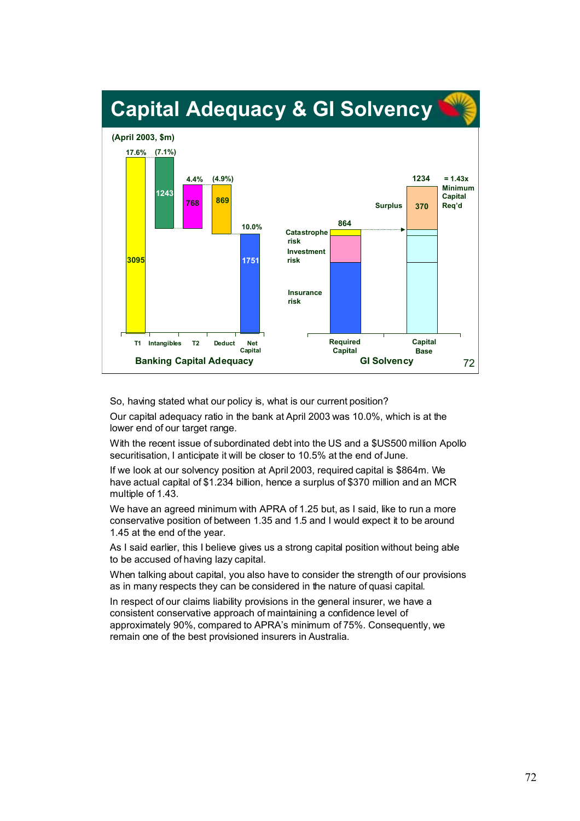

So, having stated what our policy is, what is our current position?

Our capital adequacy ratio in the bank at April 2003 was 10.0%, which is at the lower end of our target range.

With the recent issue of subordinated debt into the US and a \$US500 million Apollo securitisation, I anticipate it will be closer to 10.5% at the end of June.

If we look at our solvency position at April 2003, required capital is \$864m. We have actual capital of \$1.234 billion, hence a surplus of \$370 million and an MCR multiple of 1.43.

We have an agreed minimum with APRA of 1.25 but, as I said, like to run a more conservative position of between 1.35 and 1.5 and I would expect it to be around 1.45 at the end of the year.

As I said earlier, this I believe gives us a strong capital position without being able to be accused of having lazy capital.

When talking about capital, you also have to consider the strength of our provisions as in many respects they can be considered in the nature of quasi capital.

In respect of our claims liability provisions in the general insurer, we have a consistent conservative approach of maintaining a confidence level of approximately 90%, compared to APRA's minimum of 75%. Consequently, we remain one of the best provisioned insurers in Australia.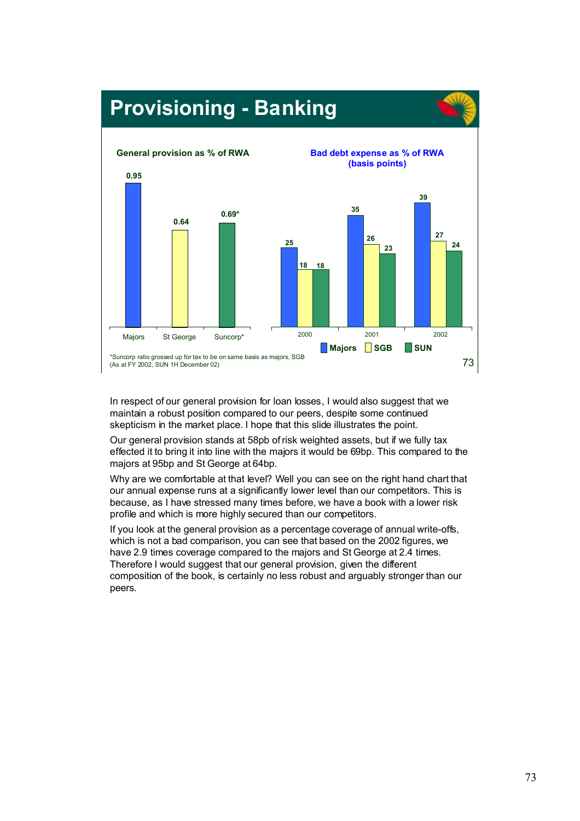

In respect of our general provision for loan losses, I would also suggest that we maintain a robust position compared to our peers, despite some continued skepticism in the market place. I hope that this slide illustrates the point.

Our general provision stands at 58pb of risk weighted assets, but if we fully tax effected it to bring it into line with the majors it would be 69bp. This compared to the majors at 95bp and St George at 64bp.

Why are we comfortable at that level? Well you can see on the right hand chart that our annual expense runs at a significantly lower level than our competitors. This is because, as I have stressed many times before, we have a book with a lower risk profile and which is more highly secured than our competitors.

If you look at the general provision as a percentage coverage of annual write-offs, which is not a bad comparison, you can see that based on the 2002 figures, we have 2.9 times coverage compared to the majors and St George at 2.4 times. Therefore I would suggest that our general provision, given the different composition of the book, is certainly no less robust and arguably stronger than our peers.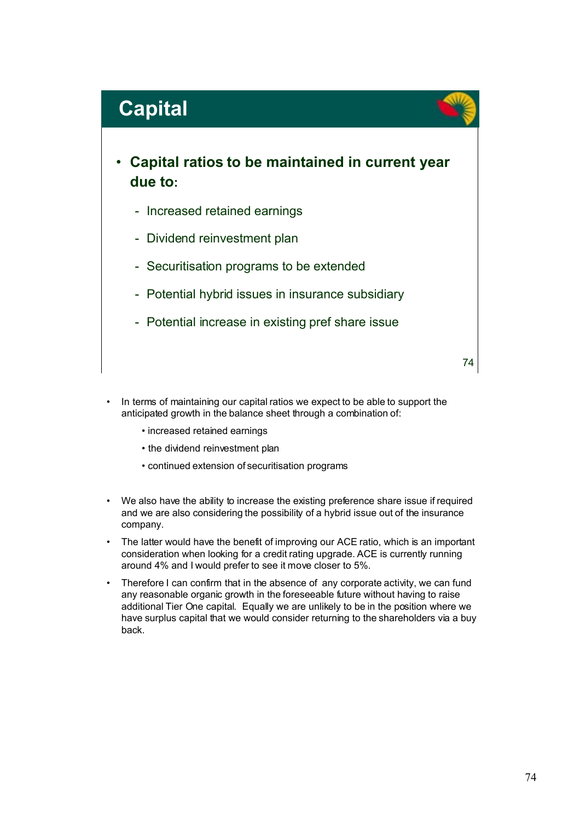## **Capital**

- **Capital ratios to be maintained in current year due to:**
	- Increased retained earnings
	- Dividend reinvestment plan
	- Securitisation programs to be extended
	- Potential hybrid issues in insurance subsidiary
	- Potential increase in existing pref share issue

74

- In terms of maintaining our capital ratios we expect to be able to support the anticipated growth in the balance sheet through a combination of:
	- increased retained earnings
	- the dividend reinvestment plan
	- continued extension of securitisation programs
- We also have the ability to increase the existing preference share issue if required and we are also considering the possibility of a hybrid issue out of the insurance company.
- The latter would have the benefit of improving our ACE ratio, which is an important consideration when looking for a credit rating upgrade. ACE is currently running around 4% and I would prefer to see it move closer to 5%.
- Therefore I can confirm that in the absence of any corporate activity, we can fund any reasonable organic growth in the foreseeable future without having to raise additional Tier One capital. Equally we are unlikely to be in the position where we have surplus capital that we would consider returning to the shareholders via a buy back.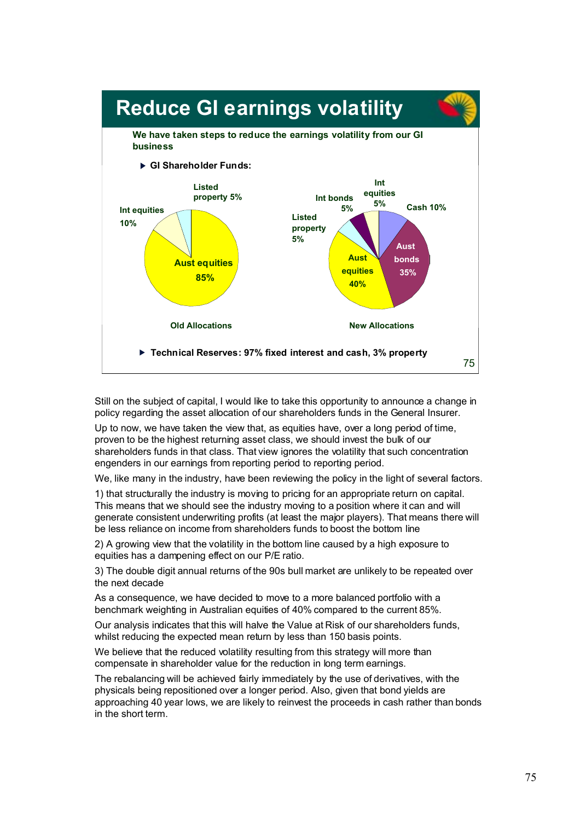

Still on the subject of capital, I would like to take this opportunity to announce a change in policy regarding the asset allocation of our shareholders funds in the General Insurer.

Up to now, we have taken the view that, as equities have, over a long period of time, proven to be the highest returning asset class, we should invest the bulk of our shareholders funds in that class. That view ignores the volatility that such concentration engenders in our earnings from reporting period to reporting period.

We, like many in the industry, have been reviewing the policy in the light of several factors.

1) that structurally the industry is moving to pricing for an appropriate return on capital. This means that we should see the industry moving to a position where it can and will generate consistent underwriting profits (at least the major players). That means there will be less reliance on income from shareholders funds to boost the bottom line

2) A growing view that the volatility in the bottom line caused by a high exposure to equities has a dampening effect on our P/E ratio.

3) The double digit annual returns of the 90s bull market are unlikely to be repeated over the next decade

As a consequence, we have decided to move to a more balanced portfolio with a benchmark weighting in Australian equities of 40% compared to the current 85%.

Our analysis indicates that this will halve the Value at Risk of our shareholders funds, whilst reducing the expected mean return by less than 150 basis points.

We believe that the reduced volatility resulting from this strategy will more than compensate in shareholder value for the reduction in long term earnings.

The rebalancing will be achieved fairly immediately by the use of derivatives, with the physicals being repositioned over a longer period. Also, given that bond yields are approaching 40 year lows, we are likely to reinvest the proceeds in cash rather than bonds in the short term.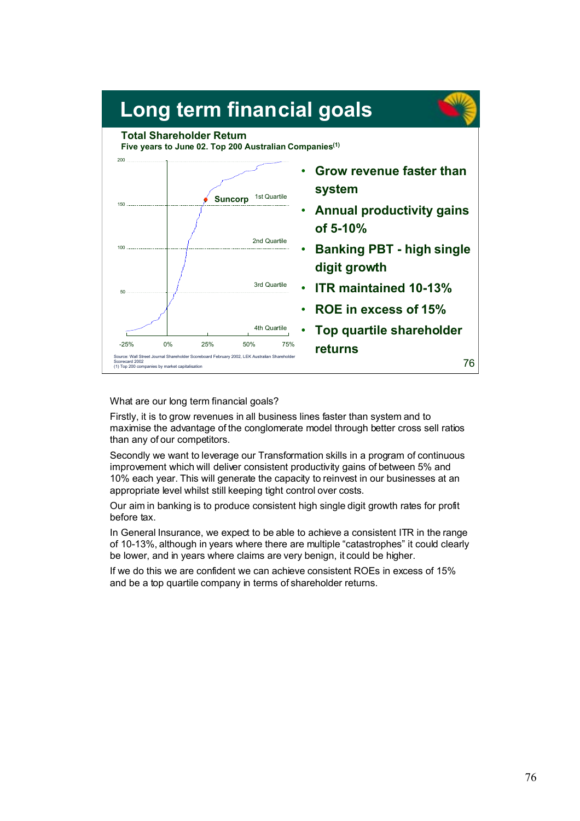

What are our long term financial goals?

Firstly, it is to grow revenues in all business lines faster than system and to maximise the advantage of the conglomerate model through better cross sell ratios than any of our competitors.

Secondly we want to leverage our Transformation skills in a program of continuous improvement which will deliver consistent productivity gains of between 5% and 10% each year. This will generate the capacity to reinvest in our businesses at an appropriate level whilst still keeping tight control over costs.

Our aim in banking is to produce consistent high single digit growth rates for profit before tax.

In General Insurance, we expect to be able to achieve a consistent ITR in the range of 10-13%, although in years where there are multiple "catastrophes" it could clearly be lower, and in years where claims are very benign, it could be higher.

If we do this we are confident we can achieve consistent ROEs in excess of 15% and be a top quartile company in terms of shareholder returns.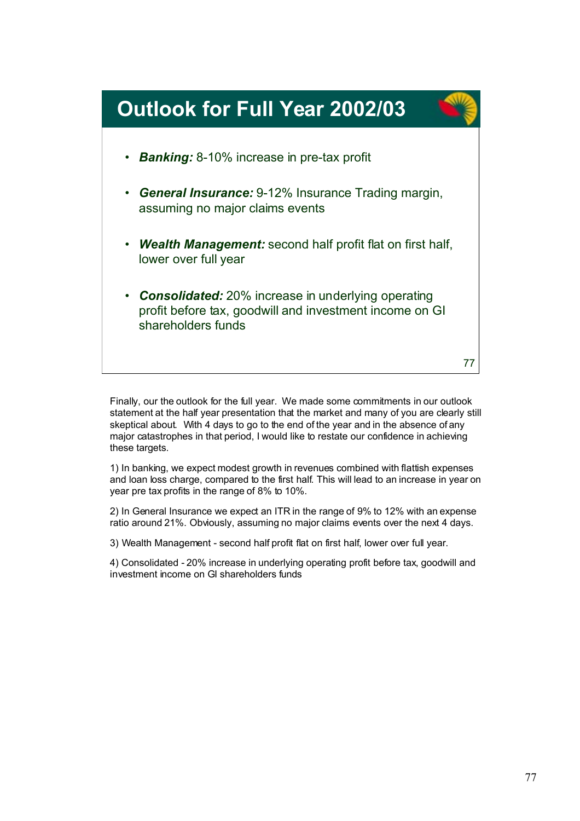

Finally, our the outlook for the full year. We made some commitments in our outlook statement at the half year presentation that the market and many of you are clearly still skeptical about. With 4 days to go to the end of the year and in the absence of any major catastrophes in that period, I would like to restate our confidence in achieving these targets.

1) In banking, we expect modest growth in revenues combined with flattish expenses and loan loss charge, compared to the first half. This will lead to an increase in year on year pre tax profits in the range of 8% to 10%.

2) In General Insurance we expect an ITR in the range of 9% to 12% with an expense ratio around 21%. Obviously, assuming no major claims events over the next 4 days.

3) Wealth Management - second half profit flat on first half, lower over full year.

4) Consolidated - 20% increase in underlying operating profit before tax, goodwill and investment income on GI shareholders funds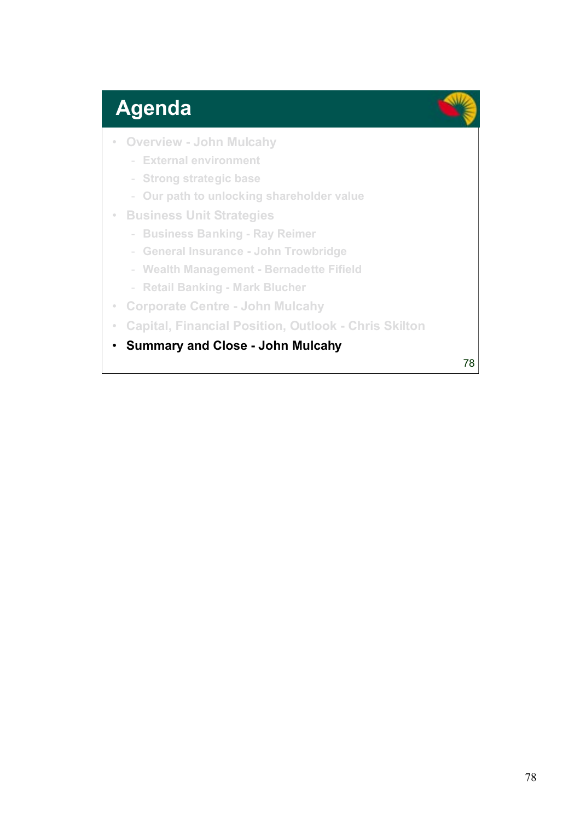## **Agenda**

- **Overview John Mulcahy**
	- **External environment**
	- **Strong strategic base**
	- **Our path to unlocking shareholder value**
- **Business Unit Strategies**
	- **Business Banking Ray Reimer**
	- **General Insurance John Trowbridge**
	- **Wealth Management Bernadette Fifield**
	- **Retail Banking Mark Blucher**
- **Corporate Centre John Mulcahy**
- **Capital, Financial Position, Outlook Chris Skilton**
- **Summary and Close John Mulcahy**

78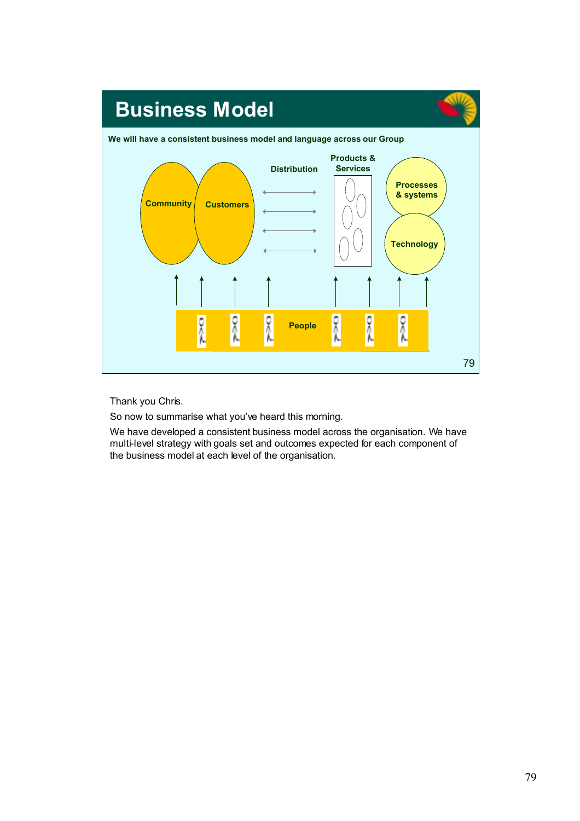

Thank you Chris.

So now to summarise what you've heard this morning.

We have developed a consistent business model across the organisation. We have multi-level strategy with goals set and outcomes expected for each component of the business model at each level of the organisation.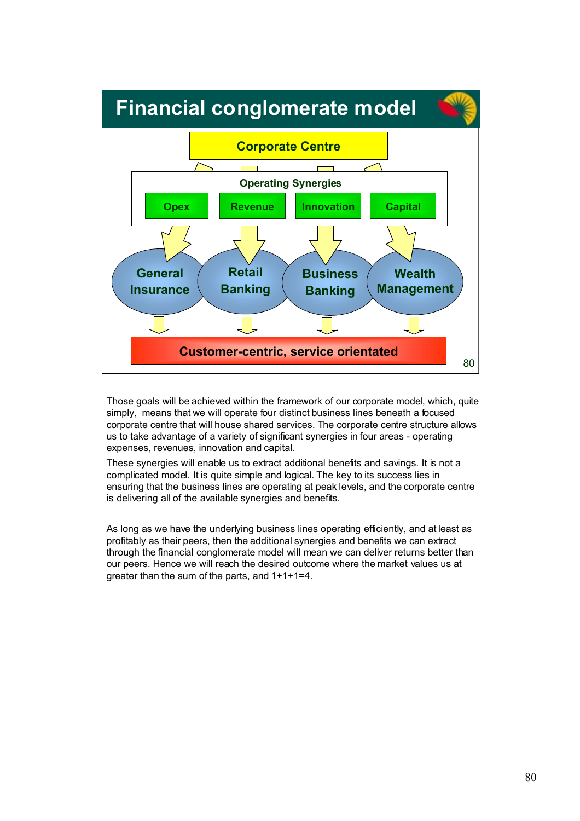

Those goals will be achieved within the framework of our corporate model, which, quite simply, means that we will operate four distinct business lines beneath a focused corporate centre that will house shared services. The corporate centre structure allows us to take advantage of a variety of significant synergies in four areas - operating expenses, revenues, innovation and capital.

These synergies will enable us to extract additional benefits and savings. It is not a complicated model. It is quite simple and logical. The key to its success lies in ensuring that the business lines are operating at peak levels, and the corporate centre is delivering all of the available synergies and benefits.

As long as we have the underlying business lines operating efficiently, and at least as profitably as their peers, then the additional synergies and benefits we can extract through the financial conglomerate model will mean we can deliver returns better than our peers. Hence we will reach the desired outcome where the market values us at greater than the sum of the parts, and 1+1+1=4.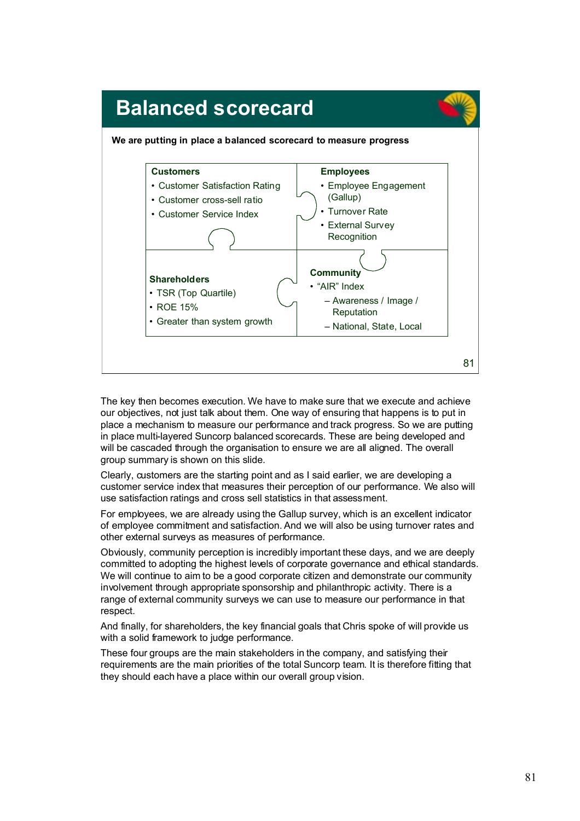

The key then becomes execution. We have to make sure that we execute and achieve our objectives, not just talk about them. One way of ensuring that happens is to put in place a mechanism to measure our performance and track progress. So we are putting in place multi-layered Suncorp balanced scorecards. These are being developed and will be cascaded through the organisation to ensure we are all aligned. The overall group summary is shown on this slide.

Clearly, customers are the starting point and as I said earlier, we are developing a customer service index that measures their perception of our performance. We also will use satisfaction ratings and cross sell statistics in that assessment.

For employees, we are already using the Gallup survey, which is an excellent indicator of employee commitment and satisfaction. And we will also be using turnover rates and other external surveys as measures of performance.

Obviously, community perception is incredibly important these days, and we are deeply committed to adopting the highest levels of corporate governance and ethical standards. We will continue to aim to be a good corporate citizen and demonstrate our community involvement through appropriate sponsorship and philanthropic activity. There is a range of external community surveys we can use to measure our performance in that respect.

And finally, for shareholders, the key financial goals that Chris spoke of will provide us with a solid framework to judge performance.

These four groups are the main stakeholders in the company, and satisfying their requirements are the main priorities of the total Suncorp team. It is therefore fitting that they should each have a place within our overall group vision.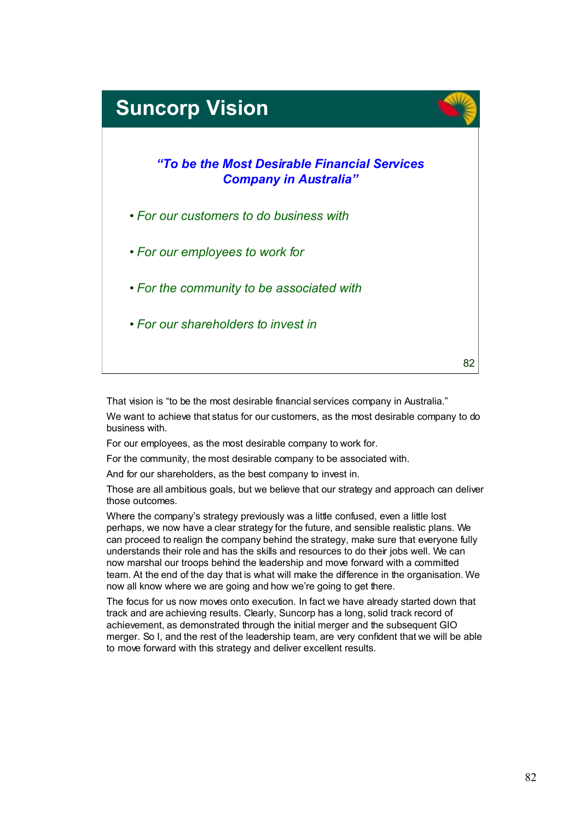## 82 *"To be the Most Desirable Financial Services Company in Australia"* • *For our customers to do business with* • *For our employees to work for* • *For the community to be associated with* • *For our shareholders to invest in* **Suncorp Vision**

That vision is "to be the most desirable financial services company in Australia."

We want to achieve that status for our customers, as the most desirable company to do business with.

For our employees, as the most desirable company to work for.

For the community, the most desirable company to be associated with.

And for our shareholders, as the best company to invest in.

Those are all ambitious goals, but we believe that our strategy and approach can deliver those outcomes.

Where the company's strategy previously was a little confused, even a little lost perhaps, we now have a clear strategy for the future, and sensible realistic plans. We can proceed to realign the company behind the strategy, make sure that everyone fully understands their role and has the skills and resources to do their jobs well. We can now marshal our troops behind the leadership and move forward with a committed team. At the end of the day that is what will make the difference in the organisation. We now all know where we are going and how we're going to get there.

The focus for us now moves onto execution. In fact we have already started down that track and are achieving results. Clearly, Suncorp has a long, solid track record of achievement, as demonstrated through the initial merger and the subsequent GIO merger. So I, and the rest of the leadership team, are very confident that we will be able to move forward with this strategy and deliver excellent results.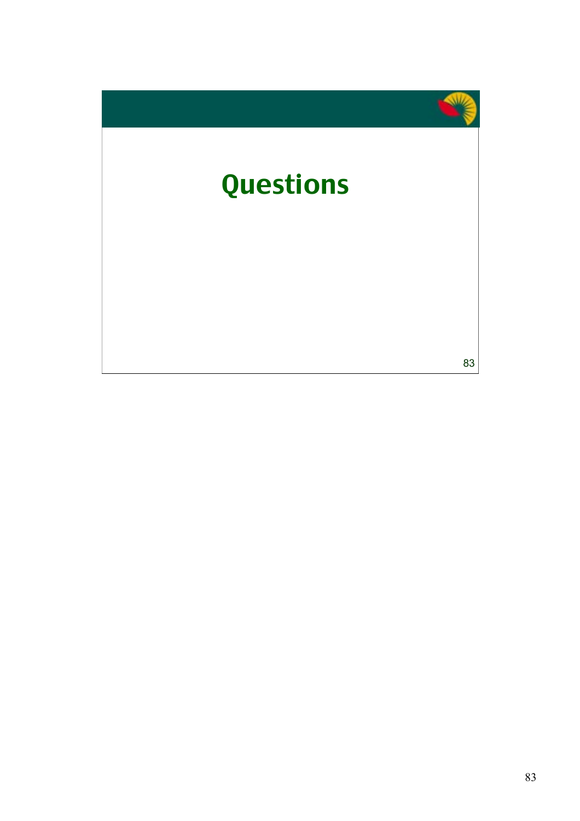